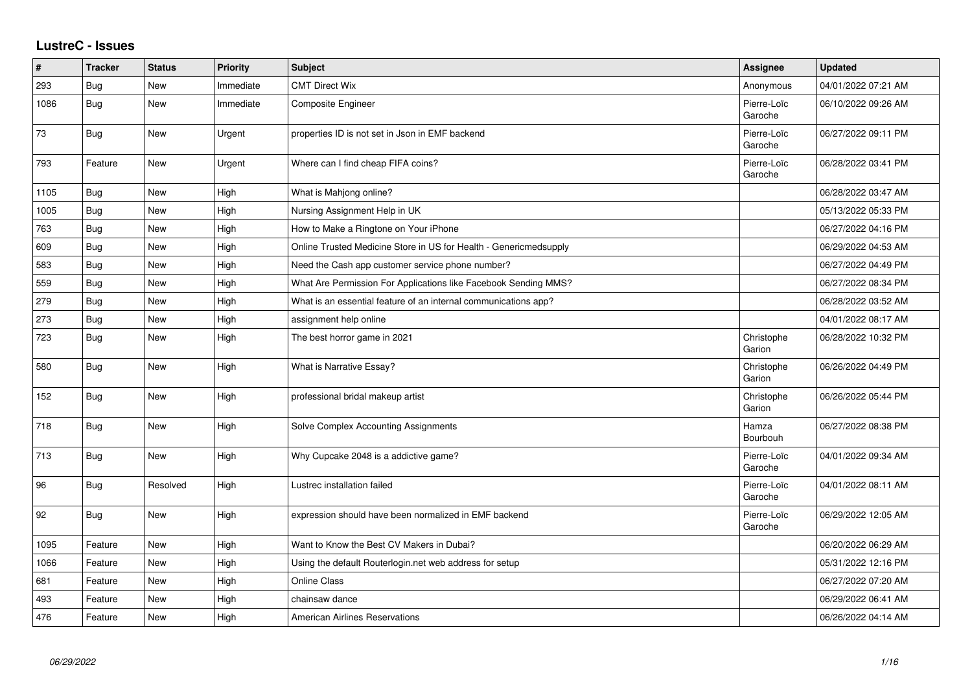## **LustreC - Issues**

| $\pmb{\sharp}$ | <b>Tracker</b> | <b>Status</b> | Priority  | <b>Subject</b>                                                    | <b>Assignee</b>        | <b>Updated</b>      |
|----------------|----------------|---------------|-----------|-------------------------------------------------------------------|------------------------|---------------------|
| 293            | <b>Bug</b>     | <b>New</b>    | Immediate | <b>CMT Direct Wix</b>                                             | Anonymous              | 04/01/2022 07:21 AM |
| 1086           | Bug            | <b>New</b>    | Immediate | <b>Composite Engineer</b>                                         | Pierre-Loïc<br>Garoche | 06/10/2022 09:26 AM |
| 73             | Bug            | <b>New</b>    | Urgent    | properties ID is not set in Json in EMF backend                   | Pierre-Loïc<br>Garoche | 06/27/2022 09:11 PM |
| 793            | Feature        | <b>New</b>    | Urgent    | Where can I find cheap FIFA coins?                                | Pierre-Loïc<br>Garoche | 06/28/2022 03:41 PM |
| 1105           | <b>Bug</b>     | New           | High      | What is Mahjong online?                                           |                        | 06/28/2022 03:47 AM |
| 1005           | <b>Bug</b>     | New           | High      | Nursing Assignment Help in UK                                     |                        | 05/13/2022 05:33 PM |
| 763            | Bug            | New           | High      | How to Make a Ringtone on Your iPhone                             |                        | 06/27/2022 04:16 PM |
| 609            | Bug            | <b>New</b>    | High      | Online Trusted Medicine Store in US for Health - Genericmedsupply |                        | 06/29/2022 04:53 AM |
| 583            | Bug            | New           | High      | Need the Cash app customer service phone number?                  |                        | 06/27/2022 04:49 PM |
| 559            | <b>Bug</b>     | <b>New</b>    | High      | What Are Permission For Applications like Facebook Sending MMS?   |                        | 06/27/2022 08:34 PM |
| 279            | Bug            | New           | High      | What is an essential feature of an internal communications app?   |                        | 06/28/2022 03:52 AM |
| 273            | Bug            | <b>New</b>    | High      | assignment help online                                            |                        | 04/01/2022 08:17 AM |
| 723            | <b>Bug</b>     | <b>New</b>    | High      | The best horror game in 2021                                      | Christophe<br>Garion   | 06/28/2022 10:32 PM |
| 580            | Bug            | <b>New</b>    | High      | What is Narrative Essay?                                          | Christophe<br>Garion   | 06/26/2022 04:49 PM |
| 152            | Bug            | <b>New</b>    | High      | professional bridal makeup artist                                 | Christophe<br>Garion   | 06/26/2022 05:44 PM |
| 718            | <b>Bug</b>     | New           | High      | Solve Complex Accounting Assignments                              | Hamza<br>Bourbouh      | 06/27/2022 08:38 PM |
| 713            | <b>Bug</b>     | <b>New</b>    | High      | Why Cupcake 2048 is a addictive game?                             | Pierre-Loïc<br>Garoche | 04/01/2022 09:34 AM |
| 96             | Bug            | Resolved      | High      | Lustrec installation failed                                       | Pierre-Loïc<br>Garoche | 04/01/2022 08:11 AM |
| 92             | <b>Bug</b>     | New           | High      | expression should have been normalized in EMF backend             | Pierre-Loïc<br>Garoche | 06/29/2022 12:05 AM |
| 1095           | Feature        | <b>New</b>    | High      | Want to Know the Best CV Makers in Dubai?                         |                        | 06/20/2022 06:29 AM |
| 1066           | Feature        | <b>New</b>    | High      | Using the default Routerlogin.net web address for setup           |                        | 05/31/2022 12:16 PM |
| 681            | Feature        | New           | High      | <b>Online Class</b>                                               |                        | 06/27/2022 07:20 AM |
| 493            | Feature        | New           | High      | chainsaw dance                                                    |                        | 06/29/2022 06:41 AM |
| 476            | Feature        | <b>New</b>    | High      | <b>American Airlines Reservations</b>                             |                        | 06/26/2022 04:14 AM |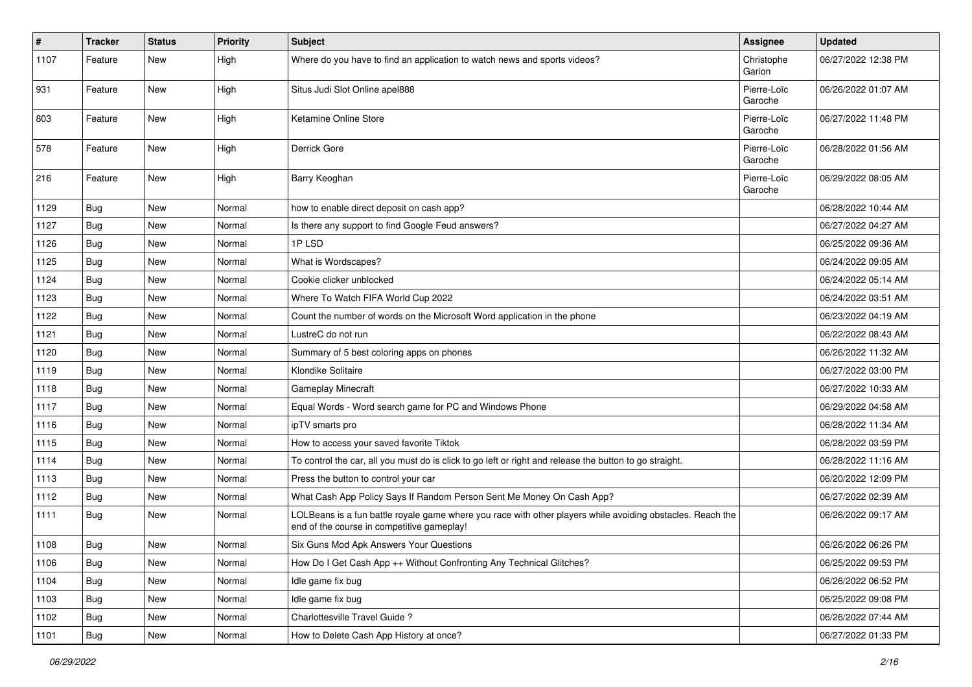| #    | <b>Tracker</b> | <b>Status</b> | <b>Priority</b> | <b>Subject</b>                                                                                                                                           | <b>Assignee</b>        | <b>Updated</b>      |
|------|----------------|---------------|-----------------|----------------------------------------------------------------------------------------------------------------------------------------------------------|------------------------|---------------------|
| 1107 | Feature        | New           | High            | Where do you have to find an application to watch news and sports videos?                                                                                | Christophe<br>Garion   | 06/27/2022 12:38 PM |
| 931  | Feature        | New           | High            | Situs Judi Slot Online apel888                                                                                                                           | Pierre-Loïc<br>Garoche | 06/26/2022 01:07 AM |
| 803  | Feature        | <b>New</b>    | High            | Ketamine Online Store                                                                                                                                    | Pierre-Loïc<br>Garoche | 06/27/2022 11:48 PM |
| 578  | Feature        | <b>New</b>    | High            | Derrick Gore                                                                                                                                             | Pierre-Loïc<br>Garoche | 06/28/2022 01:56 AM |
| 216  | Feature        | New           | High            | Barry Keoghan                                                                                                                                            | Pierre-Loïc<br>Garoche | 06/29/2022 08:05 AM |
| 1129 | Bug            | New           | Normal          | how to enable direct deposit on cash app?                                                                                                                |                        | 06/28/2022 10:44 AM |
| 1127 | <b>Bug</b>     | New           | Normal          | Is there any support to find Google Feud answers?                                                                                                        |                        | 06/27/2022 04:27 AM |
| 1126 | Bug            | <b>New</b>    | Normal          | 1PLSD                                                                                                                                                    |                        | 06/25/2022 09:36 AM |
| 1125 | <b>Bug</b>     | New           | Normal          | What is Wordscapes?                                                                                                                                      |                        | 06/24/2022 09:05 AM |
| 1124 | Bug            | New           | Normal          | Cookie clicker unblocked                                                                                                                                 |                        | 06/24/2022 05:14 AM |
| 1123 | <b>Bug</b>     | New           | Normal          | Where To Watch FIFA World Cup 2022                                                                                                                       |                        | 06/24/2022 03:51 AM |
| 1122 | <b>Bug</b>     | New           | Normal          | Count the number of words on the Microsoft Word application in the phone                                                                                 |                        | 06/23/2022 04:19 AM |
| 1121 | Bug            | <b>New</b>    | Normal          | LustreC do not run                                                                                                                                       |                        | 06/22/2022 08:43 AM |
| 1120 | Bug            | New           | Normal          | Summary of 5 best coloring apps on phones                                                                                                                |                        | 06/26/2022 11:32 AM |
| 1119 | <b>Bug</b>     | <b>New</b>    | Normal          | Klondike Solitaire                                                                                                                                       |                        | 06/27/2022 03:00 PM |
| 1118 | Bug            | New           | Normal          | Gameplay Minecraft                                                                                                                                       |                        | 06/27/2022 10:33 AM |
| 1117 | Bug            | New           | Normal          | Equal Words - Word search game for PC and Windows Phone                                                                                                  |                        | 06/29/2022 04:58 AM |
| 1116 | <b>Bug</b>     | <b>New</b>    | Normal          | ipTV smarts pro                                                                                                                                          |                        | 06/28/2022 11:34 AM |
| 1115 | Bug            | New           | Normal          | How to access your saved favorite Tiktok                                                                                                                 |                        | 06/28/2022 03:59 PM |
| 1114 | <b>Bug</b>     | New           | Normal          | To control the car, all you must do is click to go left or right and release the button to go straight.                                                  |                        | 06/28/2022 11:16 AM |
| 1113 | Bug            | <b>New</b>    | Normal          | Press the button to control your car                                                                                                                     |                        | 06/20/2022 12:09 PM |
| 1112 | <b>Bug</b>     | New           | Normal          | What Cash App Policy Says If Random Person Sent Me Money On Cash App?                                                                                    |                        | 06/27/2022 02:39 AM |
| 1111 | Bug            | New           | Normal          | LOLBeans is a fun battle royale game where you race with other players while avoiding obstacles. Reach the<br>end of the course in competitive gameplay! |                        | 06/26/2022 09:17 AM |
| 1108 | Bug            | <b>New</b>    | Normal          | Six Guns Mod Apk Answers Your Questions                                                                                                                  |                        | 06/26/2022 06:26 PM |
| 1106 | Bug            | New           | Normal          | How Do I Get Cash App ++ Without Confronting Any Technical Glitches?                                                                                     |                        | 06/25/2022 09:53 PM |
| 1104 | <b>Bug</b>     | New           | Normal          | Idle game fix bug                                                                                                                                        |                        | 06/26/2022 06:52 PM |
| 1103 | Bug            | New           | Normal          | Idle game fix bug                                                                                                                                        |                        | 06/25/2022 09:08 PM |
| 1102 | Bug            | New           | Normal          | Charlottesville Travel Guide?                                                                                                                            |                        | 06/26/2022 07:44 AM |
| 1101 | Bug            | New           | Normal          | How to Delete Cash App History at once?                                                                                                                  |                        | 06/27/2022 01:33 PM |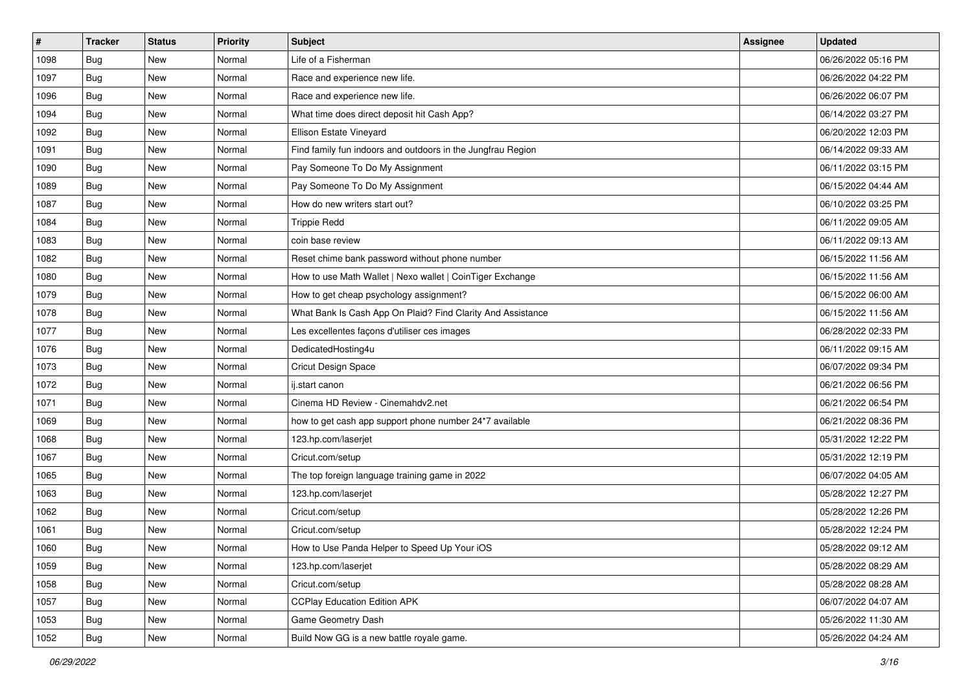| $\vert$ # | <b>Tracker</b> | <b>Status</b> | <b>Priority</b> | Subject                                                     | <b>Assignee</b> | <b>Updated</b>      |
|-----------|----------------|---------------|-----------------|-------------------------------------------------------------|-----------------|---------------------|
| 1098      | Bug            | New           | Normal          | Life of a Fisherman                                         |                 | 06/26/2022 05:16 PM |
| 1097      | Bug            | <b>New</b>    | Normal          | Race and experience new life.                               |                 | 06/26/2022 04:22 PM |
| 1096      | Bug            | New           | Normal          | Race and experience new life.                               |                 | 06/26/2022 06:07 PM |
| 1094      | Bug            | New           | Normal          | What time does direct deposit hit Cash App?                 |                 | 06/14/2022 03:27 PM |
| 1092      | Bug            | <b>New</b>    | Normal          | Ellison Estate Vineyard                                     |                 | 06/20/2022 12:03 PM |
| 1091      | <b>Bug</b>     | New           | Normal          | Find family fun indoors and outdoors in the Jungfrau Region |                 | 06/14/2022 09:33 AM |
| 1090      | <b>Bug</b>     | New           | Normal          | Pay Someone To Do My Assignment                             |                 | 06/11/2022 03:15 PM |
| 1089      | Bug            | New           | Normal          | Pay Someone To Do My Assignment                             |                 | 06/15/2022 04:44 AM |
| 1087      | <b>Bug</b>     | New           | Normal          | How do new writers start out?                               |                 | 06/10/2022 03:25 PM |
| 1084      | Bug            | <b>New</b>    | Normal          | <b>Trippie Redd</b>                                         |                 | 06/11/2022 09:05 AM |
| 1083      | <b>Bug</b>     | New           | Normal          | coin base review                                            |                 | 06/11/2022 09:13 AM |
| 1082      | <b>Bug</b>     | New           | Normal          | Reset chime bank password without phone number              |                 | 06/15/2022 11:56 AM |
| 1080      | Bug            | New           | Normal          | How to use Math Wallet   Nexo wallet   CoinTiger Exchange   |                 | 06/15/2022 11:56 AM |
| 1079      | Bug            | New           | Normal          | How to get cheap psychology assignment?                     |                 | 06/15/2022 06:00 AM |
| 1078      | Bug            | <b>New</b>    | Normal          | What Bank Is Cash App On Plaid? Find Clarity And Assistance |                 | 06/15/2022 11:56 AM |
| 1077      | Bug            | New           | Normal          | Les excellentes façons d'utiliser ces images                |                 | 06/28/2022 02:33 PM |
| 1076      | <b>Bug</b>     | New           | Normal          | DedicatedHosting4u                                          |                 | 06/11/2022 09:15 AM |
| 1073      | <b>Bug</b>     | New           | Normal          | Cricut Design Space                                         |                 | 06/07/2022 09:34 PM |
| 1072      | Bug            | New           | Normal          | ij.start canon                                              |                 | 06/21/2022 06:56 PM |
| 1071      | Bug            | <b>New</b>    | Normal          | Cinema HD Review - Cinemahdv2.net                           |                 | 06/21/2022 06:54 PM |
| 1069      | <b>Bug</b>     | New           | Normal          | how to get cash app support phone number 24*7 available     |                 | 06/21/2022 08:36 PM |
| 1068      | <b>Bug</b>     | New           | Normal          | 123.hp.com/laserjet                                         |                 | 05/31/2022 12:22 PM |
| 1067      | Bug            | <b>New</b>    | Normal          | Cricut.com/setup                                            |                 | 05/31/2022 12:19 PM |
| 1065      | <b>Bug</b>     | New           | Normal          | The top foreign language training game in 2022              |                 | 06/07/2022 04:05 AM |
| 1063      | Bug            | New           | Normal          | 123.hp.com/laserjet                                         |                 | 05/28/2022 12:27 PM |
| 1062      | <b>Bug</b>     | New           | Normal          | Cricut.com/setup                                            |                 | 05/28/2022 12:26 PM |
| 1061      | <b>Bug</b>     | <b>New</b>    | Normal          | Cricut.com/setup                                            |                 | 05/28/2022 12:24 PM |
| 1060      | I Bug          | New           | Normal          | How to Use Panda Helper to Speed Up Your iOS                |                 | 05/28/2022 09:12 AM |
| 1059      | Bug            | New           | Normal          | 123.hp.com/laserjet                                         |                 | 05/28/2022 08:29 AM |
| 1058      | Bug            | New           | Normal          | Cricut.com/setup                                            |                 | 05/28/2022 08:28 AM |
| 1057      | Bug            | New           | Normal          | <b>CCPlay Education Edition APK</b>                         |                 | 06/07/2022 04:07 AM |
| 1053      | Bug            | New           | Normal          | Game Geometry Dash                                          |                 | 05/26/2022 11:30 AM |
| 1052      | Bug            | New           | Normal          | Build Now GG is a new battle royale game.                   |                 | 05/26/2022 04:24 AM |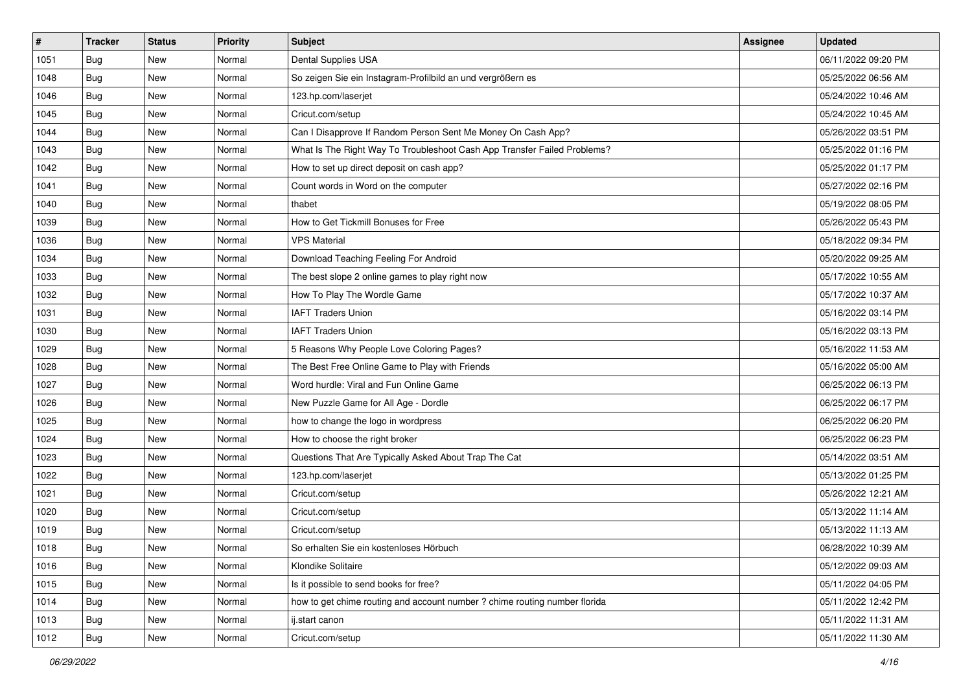| $\pmb{\#}$ | <b>Tracker</b> | <b>Status</b> | Priority | <b>Subject</b>                                                             | <b>Assignee</b> | <b>Updated</b>      |
|------------|----------------|---------------|----------|----------------------------------------------------------------------------|-----------------|---------------------|
| 1051       | <b>Bug</b>     | New           | Normal   | Dental Supplies USA                                                        |                 | 06/11/2022 09:20 PM |
| 1048       | Bug            | New           | Normal   | So zeigen Sie ein Instagram-Profilbild an und vergrößern es                |                 | 05/25/2022 06:56 AM |
| 1046       | Bug            | New           | Normal   | 123.hp.com/laserjet                                                        |                 | 05/24/2022 10:46 AM |
| 1045       | Bug            | New           | Normal   | Cricut.com/setup                                                           |                 | 05/24/2022 10:45 AM |
| 1044       | Bug            | <b>New</b>    | Normal   | Can I Disapprove If Random Person Sent Me Money On Cash App?               |                 | 05/26/2022 03:51 PM |
| 1043       | <b>Bug</b>     | New           | Normal   | What Is The Right Way To Troubleshoot Cash App Transfer Failed Problems?   |                 | 05/25/2022 01:16 PM |
| 1042       | Bug            | New           | Normal   | How to set up direct deposit on cash app?                                  |                 | 05/25/2022 01:17 PM |
| 1041       | <b>Bug</b>     | New           | Normal   | Count words in Word on the computer                                        |                 | 05/27/2022 02:16 PM |
| 1040       | <b>Bug</b>     | New           | Normal   | thabet                                                                     |                 | 05/19/2022 08:05 PM |
| 1039       | Bug            | New           | Normal   | How to Get Tickmill Bonuses for Free                                       |                 | 05/26/2022 05:43 PM |
| 1036       | Bug            | New           | Normal   | <b>VPS Material</b>                                                        |                 | 05/18/2022 09:34 PM |
| 1034       | Bug            | New           | Normal   | Download Teaching Feeling For Android                                      |                 | 05/20/2022 09:25 AM |
| 1033       | Bug            | New           | Normal   | The best slope 2 online games to play right now                            |                 | 05/17/2022 10:55 AM |
| 1032       | Bug            | New           | Normal   | How To Play The Wordle Game                                                |                 | 05/17/2022 10:37 AM |
| 1031       | <b>Bug</b>     | New           | Normal   | <b>IAFT Traders Union</b>                                                  |                 | 05/16/2022 03:14 PM |
| 1030       | <b>Bug</b>     | New           | Normal   | <b>IAFT Traders Union</b>                                                  |                 | 05/16/2022 03:13 PM |
| 1029       | <b>Bug</b>     | New           | Normal   | 5 Reasons Why People Love Coloring Pages?                                  |                 | 05/16/2022 11:53 AM |
| 1028       | Bug            | <b>New</b>    | Normal   | The Best Free Online Game to Play with Friends                             |                 | 05/16/2022 05:00 AM |
| 1027       | <b>Bug</b>     | New           | Normal   | Word hurdle: Viral and Fun Online Game                                     |                 | 06/25/2022 06:13 PM |
| 1026       | Bug            | New           | Normal   | New Puzzle Game for All Age - Dordle                                       |                 | 06/25/2022 06:17 PM |
| 1025       | Bug            | New           | Normal   | how to change the logo in wordpress                                        |                 | 06/25/2022 06:20 PM |
| 1024       | <b>Bug</b>     | New           | Normal   | How to choose the right broker                                             |                 | 06/25/2022 06:23 PM |
| 1023       | Bug            | <b>New</b>    | Normal   | Questions That Are Typically Asked About Trap The Cat                      |                 | 05/14/2022 03:51 AM |
| 1022       | <b>Bug</b>     | New           | Normal   | 123.hp.com/laserjet                                                        |                 | 05/13/2022 01:25 PM |
| 1021       | <b>Bug</b>     | New           | Normal   | Cricut.com/setup                                                           |                 | 05/26/2022 12:21 AM |
| 1020       | Bug            | New           | Normal   | Cricut.com/setup                                                           |                 | 05/13/2022 11:14 AM |
| 1019       | Bug            | New           | Normal   | Cricut.com/setup                                                           |                 | 05/13/2022 11:13 AM |
| 1018       | Bug            | New           | Normal   | So erhalten Sie ein kostenloses Hörbuch                                    |                 | 06/28/2022 10:39 AM |
| 1016       | Bug            | New           | Normal   | Klondike Solitaire                                                         |                 | 05/12/2022 09:03 AM |
| 1015       | Bug            | New           | Normal   | Is it possible to send books for free?                                     |                 | 05/11/2022 04:05 PM |
| 1014       | Bug            | New           | Normal   | how to get chime routing and account number ? chime routing number florida |                 | 05/11/2022 12:42 PM |
| 1013       | <b>Bug</b>     | New           | Normal   | ij.start canon                                                             |                 | 05/11/2022 11:31 AM |
| 1012       | Bug            | New           | Normal   | Cricut.com/setup                                                           |                 | 05/11/2022 11:30 AM |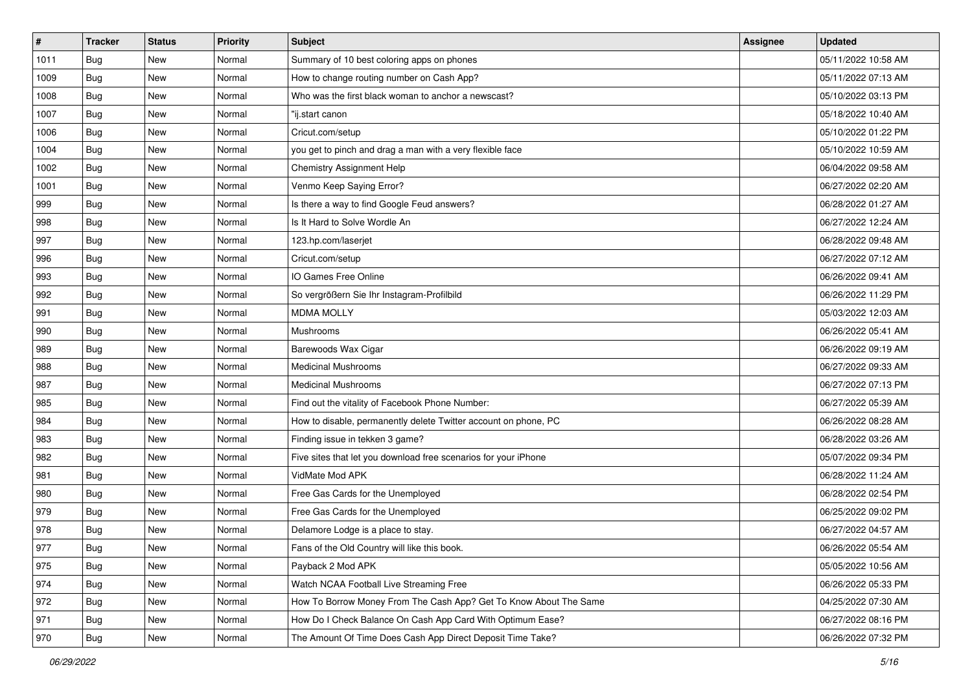| $\sharp$ | <b>Tracker</b> | <b>Status</b> | <b>Priority</b> | Subject                                                           | <b>Assignee</b> | <b>Updated</b>      |
|----------|----------------|---------------|-----------------|-------------------------------------------------------------------|-----------------|---------------------|
| 1011     | Bug            | New           | Normal          | Summary of 10 best coloring apps on phones                        |                 | 05/11/2022 10:58 AM |
| 1009     | <b>Bug</b>     | New           | Normal          | How to change routing number on Cash App?                         |                 | 05/11/2022 07:13 AM |
| 1008     | Bug            | New           | Normal          | Who was the first black woman to anchor a newscast?               |                 | 05/10/2022 03:13 PM |
| 1007     | Bug            | New           | Normal          | "ij.start canon                                                   |                 | 05/18/2022 10:40 AM |
| 1006     | <b>Bug</b>     | <b>New</b>    | Normal          | Cricut.com/setup                                                  |                 | 05/10/2022 01:22 PM |
| 1004     | Bug            | New           | Normal          | you get to pinch and drag a man with a very flexible face         |                 | 05/10/2022 10:59 AM |
| 1002     | Bug            | New           | Normal          | Chemistry Assignment Help                                         |                 | 06/04/2022 09:58 AM |
| 1001     | Bug            | New           | Normal          | Venmo Keep Saying Error?                                          |                 | 06/27/2022 02:20 AM |
| 999      | Bug            | New           | Normal          | Is there a way to find Google Feud answers?                       |                 | 06/28/2022 01:27 AM |
| 998      | Bug            | New           | Normal          | Is It Hard to Solve Wordle An                                     |                 | 06/27/2022 12:24 AM |
| 997      | Bug            | New           | Normal          | 123.hp.com/laserjet                                               |                 | 06/28/2022 09:48 AM |
| 996      | <b>Bug</b>     | New           | Normal          | Cricut.com/setup                                                  |                 | 06/27/2022 07:12 AM |
| 993      | Bug            | New           | Normal          | IO Games Free Online                                              |                 | 06/26/2022 09:41 AM |
| 992      | Bug            | New           | Normal          | So vergrößern Sie Ihr Instagram-Profilbild                        |                 | 06/26/2022 11:29 PM |
| 991      | Bug            | New           | Normal          | <b>MDMA MOLLY</b>                                                 |                 | 05/03/2022 12:03 AM |
| 990      | Bug            | New           | Normal          | Mushrooms                                                         |                 | 06/26/2022 05:41 AM |
| 989      | Bug            | New           | Normal          | Barewoods Wax Cigar                                               |                 | 06/26/2022 09:19 AM |
| 988      | Bug            | <b>New</b>    | Normal          | <b>Medicinal Mushrooms</b>                                        |                 | 06/27/2022 09:33 AM |
| 987      | <b>Bug</b>     | New           | Normal          | <b>Medicinal Mushrooms</b>                                        |                 | 06/27/2022 07:13 PM |
| 985      | Bug            | New           | Normal          | Find out the vitality of Facebook Phone Number:                   |                 | 06/27/2022 05:39 AM |
| 984      | Bug            | New           | Normal          | How to disable, permanently delete Twitter account on phone, PC   |                 | 06/26/2022 08:28 AM |
| 983      | Bug            | New           | Normal          | Finding issue in tekken 3 game?                                   |                 | 06/28/2022 03:26 AM |
| 982      | Bug            | <b>New</b>    | Normal          | Five sites that let you download free scenarios for your iPhone   |                 | 05/07/2022 09:34 PM |
| 981      | <b>Bug</b>     | New           | Normal          | VidMate Mod APK                                                   |                 | 06/28/2022 11:24 AM |
| 980      | <b>Bug</b>     | New           | Normal          | Free Gas Cards for the Unemployed                                 |                 | 06/28/2022 02:54 PM |
| 979      | Bug            | New           | Normal          | Free Gas Cards for the Unemployed                                 |                 | 06/25/2022 09:02 PM |
| 978      | <b>Bug</b>     | New           | Normal          | Delamore Lodge is a place to stay.                                |                 | 06/27/2022 04:57 AM |
| 977      | <b>Bug</b>     | New           | Normal          | Fans of the Old Country will like this book.                      |                 | 06/26/2022 05:54 AM |
| 975      | Bug            | New           | Normal          | Payback 2 Mod APK                                                 |                 | 05/05/2022 10:56 AM |
| 974      | Bug            | New           | Normal          | Watch NCAA Football Live Streaming Free                           |                 | 06/26/2022 05:33 PM |
| 972      | <b>Bug</b>     | New           | Normal          | How To Borrow Money From The Cash App? Get To Know About The Same |                 | 04/25/2022 07:30 AM |
| 971      | <b>Bug</b>     | New           | Normal          | How Do I Check Balance On Cash App Card With Optimum Ease?        |                 | 06/27/2022 08:16 PM |
| 970      | <b>Bug</b>     | New           | Normal          | The Amount Of Time Does Cash App Direct Deposit Time Take?        |                 | 06/26/2022 07:32 PM |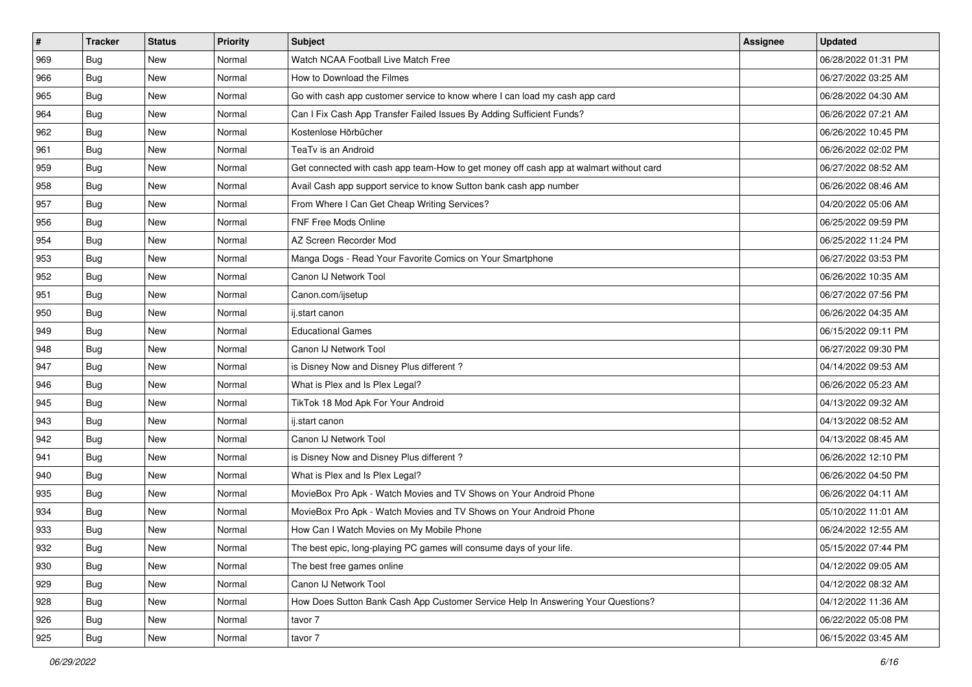| $\sharp$ | <b>Tracker</b> | <b>Status</b> | Priority | Subject                                                                                | <b>Assignee</b> | <b>Updated</b>      |
|----------|----------------|---------------|----------|----------------------------------------------------------------------------------------|-----------------|---------------------|
| 969      | Bug            | New           | Normal   | Watch NCAA Football Live Match Free                                                    |                 | 06/28/2022 01:31 PM |
| 966      | Bug            | New           | Normal   | How to Download the Filmes                                                             |                 | 06/27/2022 03:25 AM |
| 965      | Bug            | New           | Normal   | Go with cash app customer service to know where I can load my cash app card            |                 | 06/28/2022 04:30 AM |
| 964      | Bug            | New           | Normal   | Can I Fix Cash App Transfer Failed Issues By Adding Sufficient Funds?                  |                 | 06/26/2022 07:21 AM |
| 962      | Bug            | New           | Normal   | Kostenlose Hörbücher                                                                   |                 | 06/26/2022 10:45 PM |
| 961      | Bug            | New           | Normal   | TeaTv is an Android                                                                    |                 | 06/26/2022 02:02 PM |
| 959      | Bug            | New           | Normal   | Get connected with cash app team-How to get money off cash app at walmart without card |                 | 06/27/2022 08:52 AM |
| 958      | <b>Bug</b>     | New           | Normal   | Avail Cash app support service to know Sutton bank cash app number                     |                 | 06/26/2022 08:46 AM |
| 957      | Bug            | New           | Normal   | From Where I Can Get Cheap Writing Services?                                           |                 | 04/20/2022 05:06 AM |
| 956      | Bug            | <b>New</b>    | Normal   | FNF Free Mods Online                                                                   |                 | 06/25/2022 09:59 PM |
| 954      | Bug            | New           | Normal   | AZ Screen Recorder Mod                                                                 |                 | 06/25/2022 11:24 PM |
| 953      | Bug            | New           | Normal   | Manga Dogs - Read Your Favorite Comics on Your Smartphone                              |                 | 06/27/2022 03:53 PM |
| 952      | Bug            | New           | Normal   | Canon IJ Network Tool                                                                  |                 | 06/26/2022 10:35 AM |
| 951      | Bug            | New           | Normal   | Canon.com/ijsetup                                                                      |                 | 06/27/2022 07:56 PM |
| 950      | Bug            | New           | Normal   | ij.start canon                                                                         |                 | 06/26/2022 04:35 AM |
| 949      | Bug            | New           | Normal   | <b>Educational Games</b>                                                               |                 | 06/15/2022 09:11 PM |
| 948      | Bug            | New           | Normal   | Canon IJ Network Tool                                                                  |                 | 06/27/2022 09:30 PM |
| 947      | Bug            | New           | Normal   | is Disney Now and Disney Plus different?                                               |                 | 04/14/2022 09:53 AM |
| 946      | Bug            | New           | Normal   | What is Plex and Is Plex Legal?                                                        |                 | 06/26/2022 05:23 AM |
| 945      | Bug            | New           | Normal   | TikTok 18 Mod Apk For Your Android                                                     |                 | 04/13/2022 09:32 AM |
| 943      | Bug            | New           | Normal   | ij.start canon                                                                         |                 | 04/13/2022 08:52 AM |
| 942      | Bug            | New           | Normal   | Canon IJ Network Tool                                                                  |                 | 04/13/2022 08:45 AM |
| 941      | Bug            | New           | Normal   | is Disney Now and Disney Plus different?                                               |                 | 06/26/2022 12:10 PM |
| 940      | Bug            | New           | Normal   | What is Plex and Is Plex Legal?                                                        |                 | 06/26/2022 04:50 PM |
| 935      | Bug            | New           | Normal   | MovieBox Pro Apk - Watch Movies and TV Shows on Your Android Phone                     |                 | 06/26/2022 04:11 AM |
| 934      | <b>Bug</b>     | New           | Normal   | MovieBox Pro Apk - Watch Movies and TV Shows on Your Android Phone                     |                 | 05/10/2022 11:01 AM |
| 933      | Bug            | New           | Normal   | How Can I Watch Movies on My Mobile Phone                                              |                 | 06/24/2022 12:55 AM |
| 932      | <b>Bug</b>     | New           | Normal   | The best epic, long-playing PC games will consume days of your life.                   |                 | 05/15/2022 07:44 PM |
| 930      | Bug            | New           | Normal   | The best free games online                                                             |                 | 04/12/2022 09:05 AM |
| 929      | Bug            | New           | Normal   | Canon IJ Network Tool                                                                  |                 | 04/12/2022 08:32 AM |
| 928      | Bug            | New           | Normal   | How Does Sutton Bank Cash App Customer Service Help In Answering Your Questions?       |                 | 04/12/2022 11:36 AM |
| 926      | Bug            | New           | Normal   | tavor 7                                                                                |                 | 06/22/2022 05:08 PM |
| 925      | <b>Bug</b>     | New           | Normal   | tavor 7                                                                                |                 | 06/15/2022 03:45 AM |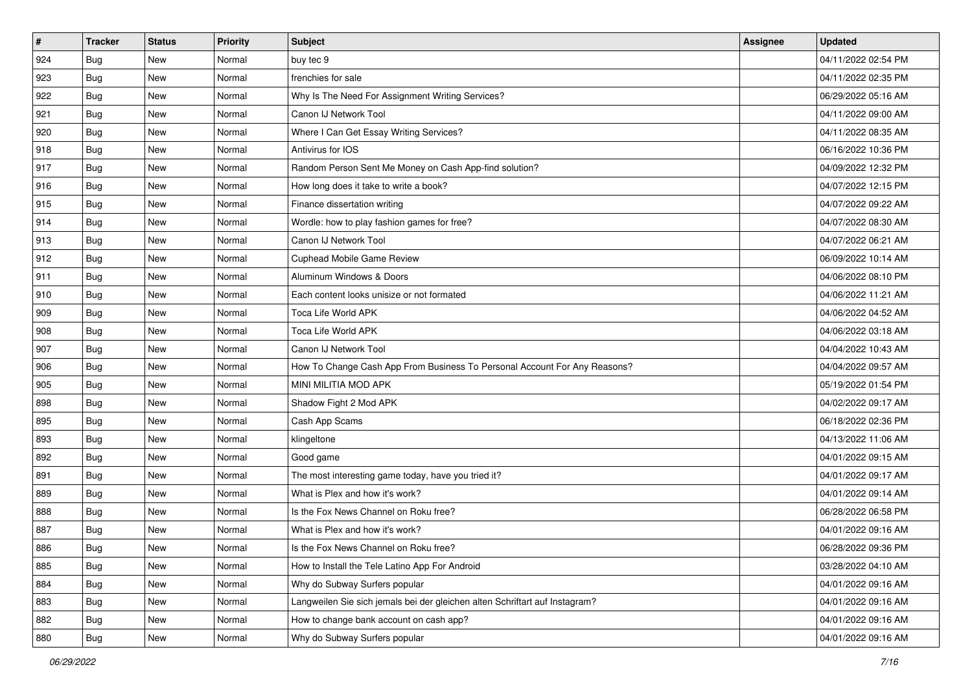| #   | <b>Tracker</b> | <b>Status</b> | <b>Priority</b> | Subject                                                                     | <b>Assignee</b> | <b>Updated</b>      |
|-----|----------------|---------------|-----------------|-----------------------------------------------------------------------------|-----------------|---------------------|
| 924 | Bug            | New           | Normal          | buy tec 9                                                                   |                 | 04/11/2022 02:54 PM |
| 923 | Bug            | <b>New</b>    | Normal          | frenchies for sale                                                          |                 | 04/11/2022 02:35 PM |
| 922 | Bug            | New           | Normal          | Why Is The Need For Assignment Writing Services?                            |                 | 06/29/2022 05:16 AM |
| 921 | <b>Bug</b>     | New           | Normal          | Canon IJ Network Tool                                                       |                 | 04/11/2022 09:00 AM |
| 920 | Bug            | <b>New</b>    | Normal          | Where I Can Get Essay Writing Services?                                     |                 | 04/11/2022 08:35 AM |
| 918 | <b>Bug</b>     | New           | Normal          | Antivirus for IOS                                                           |                 | 06/16/2022 10:36 PM |
| 917 | Bug            | New           | Normal          | Random Person Sent Me Money on Cash App-find solution?                      |                 | 04/09/2022 12:32 PM |
| 916 | <b>Bug</b>     | New           | Normal          | How long does it take to write a book?                                      |                 | 04/07/2022 12:15 PM |
| 915 | Bug            | New           | Normal          | Finance dissertation writing                                                |                 | 04/07/2022 09:22 AM |
| 914 | Bug            | <b>New</b>    | Normal          | Wordle: how to play fashion games for free?                                 |                 | 04/07/2022 08:30 AM |
| 913 | <b>Bug</b>     | New           | Normal          | Canon IJ Network Tool                                                       |                 | 04/07/2022 06:21 AM |
| 912 | Bug            | New           | Normal          | <b>Cuphead Mobile Game Review</b>                                           |                 | 06/09/2022 10:14 AM |
| 911 | Bug            | New           | Normal          | Aluminum Windows & Doors                                                    |                 | 04/06/2022 08:10 PM |
| 910 | Bug            | New           | Normal          | Each content looks unisize or not formated                                  |                 | 04/06/2022 11:21 AM |
| 909 | Bug            | <b>New</b>    | Normal          | Toca Life World APK                                                         |                 | 04/06/2022 04:52 AM |
| 908 | <b>Bug</b>     | New           | Normal          | Toca Life World APK                                                         |                 | 04/06/2022 03:18 AM |
| 907 | Bug            | New           | Normal          | Canon IJ Network Tool                                                       |                 | 04/04/2022 10:43 AM |
| 906 | Bug            | <b>New</b>    | Normal          | How To Change Cash App From Business To Personal Account For Any Reasons?   |                 | 04/04/2022 09:57 AM |
| 905 | Bug            | New           | Normal          | MINI MILITIA MOD APK                                                        |                 | 05/19/2022 01:54 PM |
| 898 | Bug            | New           | Normal          | Shadow Fight 2 Mod APK                                                      |                 | 04/02/2022 09:17 AM |
| 895 | <b>Bug</b>     | New           | Normal          | Cash App Scams                                                              |                 | 06/18/2022 02:36 PM |
| 893 | Bug            | New           | Normal          | klingeltone                                                                 |                 | 04/13/2022 11:06 AM |
| 892 | Bug            | <b>New</b>    | Normal          | Good game                                                                   |                 | 04/01/2022 09:15 AM |
| 891 | <b>Bug</b>     | New           | Normal          | The most interesting game today, have you tried it?                         |                 | 04/01/2022 09:17 AM |
| 889 | Bug            | New           | Normal          | What is Plex and how it's work?                                             |                 | 04/01/2022 09:14 AM |
| 888 | <b>Bug</b>     | New           | Normal          | Is the Fox News Channel on Roku free?                                       |                 | 06/28/2022 06:58 PM |
| 887 | <b>Bug</b>     | New           | Normal          | What is Plex and how it's work?                                             |                 | 04/01/2022 09:16 AM |
| 886 | <b>Bug</b>     | New           | Normal          | Is the Fox News Channel on Roku free?                                       |                 | 06/28/2022 09:36 PM |
| 885 | Bug            | New           | Normal          | How to Install the Tele Latino App For Android                              |                 | 03/28/2022 04:10 AM |
| 884 | Bug            | New           | Normal          | Why do Subway Surfers popular                                               |                 | 04/01/2022 09:16 AM |
| 883 | Bug            | New           | Normal          | Langweilen Sie sich jemals bei der gleichen alten Schriftart auf Instagram? |                 | 04/01/2022 09:16 AM |
| 882 | Bug            | New           | Normal          | How to change bank account on cash app?                                     |                 | 04/01/2022 09:16 AM |
| 880 | <b>Bug</b>     | New           | Normal          | Why do Subway Surfers popular                                               |                 | 04/01/2022 09:16 AM |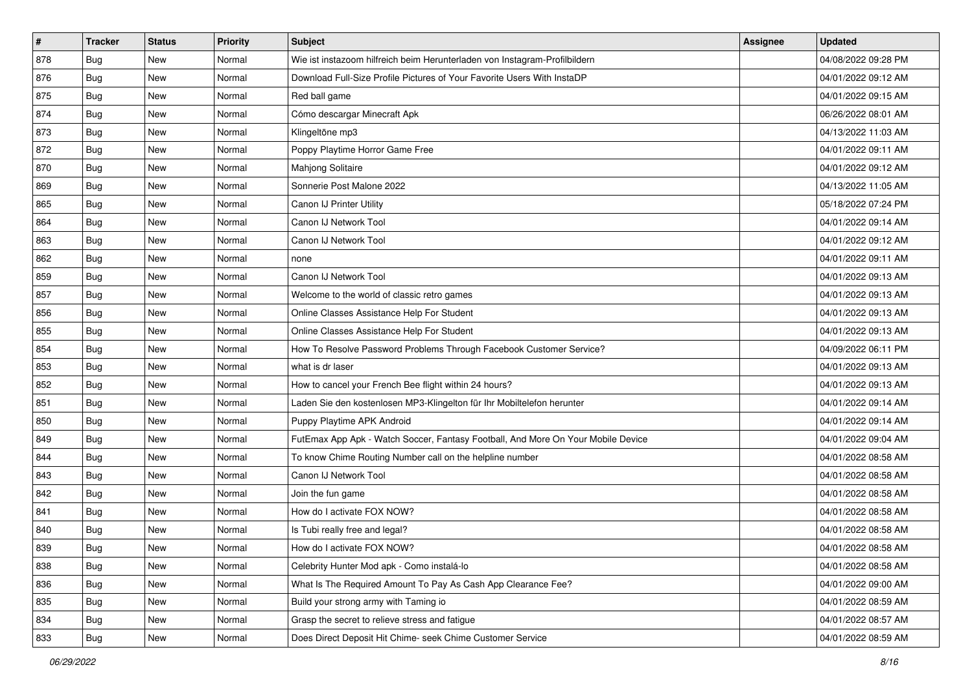| $\vert$ # | <b>Tracker</b> | <b>Status</b> | Priority | Subject                                                                          | <b>Assignee</b> | <b>Updated</b>      |
|-----------|----------------|---------------|----------|----------------------------------------------------------------------------------|-----------------|---------------------|
| 878       | <b>Bug</b>     | New           | Normal   | Wie ist instazoom hilfreich beim Herunterladen von Instagram-Profilbildern       |                 | 04/08/2022 09:28 PM |
| 876       | Bug            | <b>New</b>    | Normal   | Download Full-Size Profile Pictures of Your Favorite Users With InstaDP          |                 | 04/01/2022 09:12 AM |
| 875       | Bug            | New           | Normal   | Red ball game                                                                    |                 | 04/01/2022 09:15 AM |
| 874       | <b>Bug</b>     | New           | Normal   | Cómo descargar Minecraft Apk                                                     |                 | 06/26/2022 08:01 AM |
| 873       | <b>Bug</b>     | <b>New</b>    | Normal   | Klingeltöne mp3                                                                  |                 | 04/13/2022 11:03 AM |
| 872       | <b>Bug</b>     | New           | Normal   | Poppy Playtime Horror Game Free                                                  |                 | 04/01/2022 09:11 AM |
| 870       | Bug            | New           | Normal   | Mahjong Solitaire                                                                |                 | 04/01/2022 09:12 AM |
| 869       | <b>Bug</b>     | <b>New</b>    | Normal   | Sonnerie Post Malone 2022                                                        |                 | 04/13/2022 11:05 AM |
| 865       | <b>Bug</b>     | <b>New</b>    | Normal   | Canon IJ Printer Utility                                                         |                 | 05/18/2022 07:24 PM |
| 864       | Bug            | <b>New</b>    | Normal   | Canon IJ Network Tool                                                            |                 | 04/01/2022 09:14 AM |
| 863       | Bug            | New           | Normal   | Canon IJ Network Tool                                                            |                 | 04/01/2022 09:12 AM |
| 862       | <b>Bug</b>     | New           | Normal   | none                                                                             |                 | 04/01/2022 09:11 AM |
| 859       | <b>Bug</b>     | <b>New</b>    | Normal   | Canon IJ Network Tool                                                            |                 | 04/01/2022 09:13 AM |
| 857       | <b>Bug</b>     | New           | Normal   | Welcome to the world of classic retro games                                      |                 | 04/01/2022 09:13 AM |
| 856       | <b>Bug</b>     | New           | Normal   | Online Classes Assistance Help For Student                                       |                 | 04/01/2022 09:13 AM |
| 855       | <b>Bug</b>     | New           | Normal   | Online Classes Assistance Help For Student                                       |                 | 04/01/2022 09:13 AM |
| 854       | <b>Bug</b>     | New           | Normal   | How To Resolve Password Problems Through Facebook Customer Service?              |                 | 04/09/2022 06:11 PM |
| 853       | Bug            | <b>New</b>    | Normal   | what is dr laser                                                                 |                 | 04/01/2022 09:13 AM |
| 852       | <b>Bug</b>     | New           | Normal   | How to cancel your French Bee flight within 24 hours?                            |                 | 04/01/2022 09:13 AM |
| 851       | <b>Bug</b>     | New           | Normal   | Laden Sie den kostenlosen MP3-Klingelton für Ihr Mobiltelefon herunter           |                 | 04/01/2022 09:14 AM |
| 850       | <b>Bug</b>     | New           | Normal   | Puppy Playtime APK Android                                                       |                 | 04/01/2022 09:14 AM |
| 849       | <b>Bug</b>     | New           | Normal   | FutEmax App Apk - Watch Soccer, Fantasy Football, And More On Your Mobile Device |                 | 04/01/2022 09:04 AM |
| 844       | Bug            | <b>New</b>    | Normal   | To know Chime Routing Number call on the helpline number                         |                 | 04/01/2022 08:58 AM |
| 843       | Bug            | New           | Normal   | Canon IJ Network Tool                                                            |                 | 04/01/2022 08:58 AM |
| 842       | <b>Bug</b>     | New           | Normal   | Join the fun game                                                                |                 | 04/01/2022 08:58 AM |
| 841       | <b>Bug</b>     | <b>New</b>    | Normal   | How do I activate FOX NOW?                                                       |                 | 04/01/2022 08:58 AM |
| 840       | <b>Bug</b>     | <b>New</b>    | Normal   | Is Tubi really free and legal?                                                   |                 | 04/01/2022 08:58 AM |
| 839       | I Bug          | New           | Normal   | How do I activate FOX NOW?                                                       |                 | 04/01/2022 08:58 AM |
| 838       | Bug            | New           | Normal   | Celebrity Hunter Mod apk - Como instalá-lo                                       |                 | 04/01/2022 08:58 AM |
| 836       | Bug            | New           | Normal   | What Is The Required Amount To Pay As Cash App Clearance Fee?                    |                 | 04/01/2022 09:00 AM |
| 835       | Bug            | New           | Normal   | Build your strong army with Taming io                                            |                 | 04/01/2022 08:59 AM |
| 834       | <b>Bug</b>     | New           | Normal   | Grasp the secret to relieve stress and fatigue                                   |                 | 04/01/2022 08:57 AM |
| 833       | <b>Bug</b>     | New           | Normal   | Does Direct Deposit Hit Chime- seek Chime Customer Service                       |                 | 04/01/2022 08:59 AM |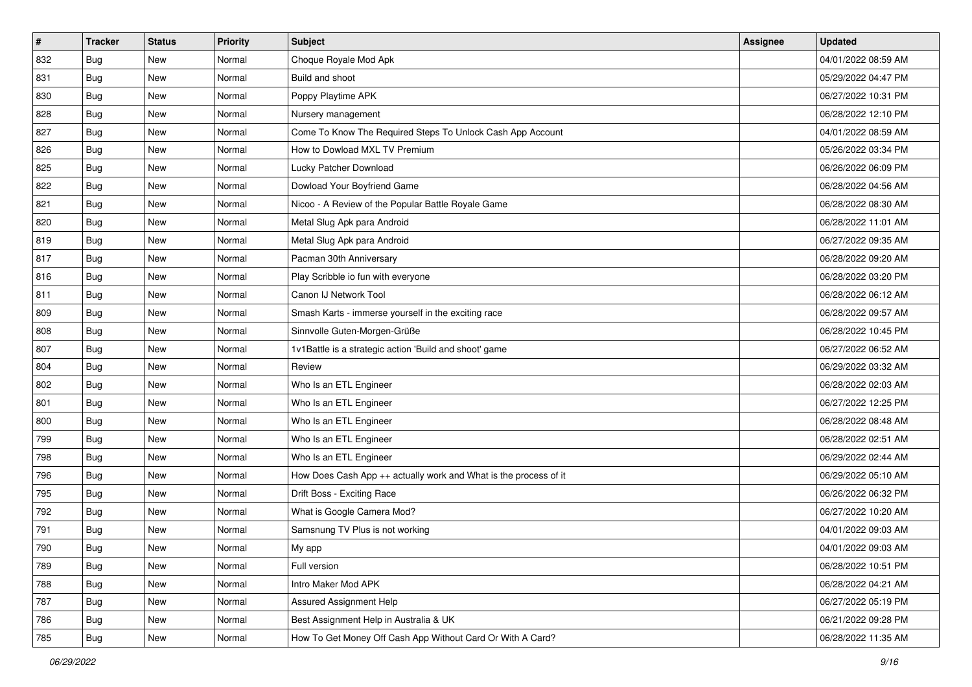| #   | <b>Tracker</b> | <b>Status</b> | <b>Priority</b> | Subject                                                          | <b>Assignee</b> | <b>Updated</b>      |
|-----|----------------|---------------|-----------------|------------------------------------------------------------------|-----------------|---------------------|
| 832 | <b>Bug</b>     | New           | Normal          | Choque Royale Mod Apk                                            |                 | 04/01/2022 08:59 AM |
| 831 | <b>Bug</b>     | <b>New</b>    | Normal          | Build and shoot                                                  |                 | 05/29/2022 04:47 PM |
| 830 | Bug            | New           | Normal          | Poppy Playtime APK                                               |                 | 06/27/2022 10:31 PM |
| 828 | <b>Bug</b>     | New           | Normal          | Nursery management                                               |                 | 06/28/2022 12:10 PM |
| 827 | <b>Bug</b>     | <b>New</b>    | Normal          | Come To Know The Required Steps To Unlock Cash App Account       |                 | 04/01/2022 08:59 AM |
| 826 | <b>Bug</b>     | New           | Normal          | How to Dowload MXL TV Premium                                    |                 | 05/26/2022 03:34 PM |
| 825 | <b>Bug</b>     | New           | Normal          | Lucky Patcher Download                                           |                 | 06/26/2022 06:09 PM |
| 822 | Bug            | New           | Normal          | Dowload Your Boyfriend Game                                      |                 | 06/28/2022 04:56 AM |
| 821 | <b>Bug</b>     | New           | Normal          | Nicoo - A Review of the Popular Battle Royale Game               |                 | 06/28/2022 08:30 AM |
| 820 | Bug            | <b>New</b>    | Normal          | Metal Slug Apk para Android                                      |                 | 06/28/2022 11:01 AM |
| 819 | <b>Bug</b>     | New           | Normal          | Metal Slug Apk para Android                                      |                 | 06/27/2022 09:35 AM |
| 817 | <b>Bug</b>     | <b>New</b>    | Normal          | Pacman 30th Anniversary                                          |                 | 06/28/2022 09:20 AM |
| 816 | <b>Bug</b>     | New           | Normal          | Play Scribble io fun with everyone                               |                 | 06/28/2022 03:20 PM |
| 811 | <b>Bug</b>     | New           | Normal          | Canon IJ Network Tool                                            |                 | 06/28/2022 06:12 AM |
| 809 | <b>Bug</b>     | <b>New</b>    | Normal          | Smash Karts - immerse yourself in the exciting race              |                 | 06/28/2022 09:57 AM |
| 808 | Bug            | New           | Normal          | Sinnvolle Guten-Morgen-Grüße                                     |                 | 06/28/2022 10:45 PM |
| 807 | <b>Bug</b>     | New           | Normal          | 1v1Battle is a strategic action 'Build and shoot' game           |                 | 06/27/2022 06:52 AM |
| 804 | <b>Bug</b>     | <b>New</b>    | Normal          | Review                                                           |                 | 06/29/2022 03:32 AM |
| 802 | <b>Bug</b>     | New           | Normal          | Who Is an ETL Engineer                                           |                 | 06/28/2022 02:03 AM |
| 801 | <b>Bug</b>     | <b>New</b>    | Normal          | Who Is an ETL Engineer                                           |                 | 06/27/2022 12:25 PM |
| 800 | Bug            | New           | Normal          | Who Is an ETL Engineer                                           |                 | 06/28/2022 08:48 AM |
| 799 | <b>Bug</b>     | New           | Normal          | Who Is an ETL Engineer                                           |                 | 06/28/2022 02:51 AM |
| 798 | Bug            | <b>New</b>    | Normal          | Who Is an ETL Engineer                                           |                 | 06/29/2022 02:44 AM |
| 796 | Bug            | New           | Normal          | How Does Cash App ++ actually work and What is the process of it |                 | 06/29/2022 05:10 AM |
| 795 | <b>Bug</b>     | New           | Normal          | Drift Boss - Exciting Race                                       |                 | 06/26/2022 06:32 PM |
| 792 | Bug            | New           | Normal          | What is Google Camera Mod?                                       |                 | 06/27/2022 10:20 AM |
| 791 | <b>Bug</b>     | <b>New</b>    | Normal          | Samsnung TV Plus is not working                                  |                 | 04/01/2022 09:03 AM |
| 790 | I Bug          | New           | Normal          | My app                                                           |                 | 04/01/2022 09:03 AM |
| 789 | Bug            | New           | Normal          | Full version                                                     |                 | 06/28/2022 10:51 PM |
| 788 | Bug            | New           | Normal          | Intro Maker Mod APK                                              |                 | 06/28/2022 04:21 AM |
| 787 | Bug            | New           | Normal          | Assured Assignment Help                                          |                 | 06/27/2022 05:19 PM |
| 786 | Bug            | New           | Normal          | Best Assignment Help in Australia & UK                           |                 | 06/21/2022 09:28 PM |
| 785 | <b>Bug</b>     | New           | Normal          | How To Get Money Off Cash App Without Card Or With A Card?       |                 | 06/28/2022 11:35 AM |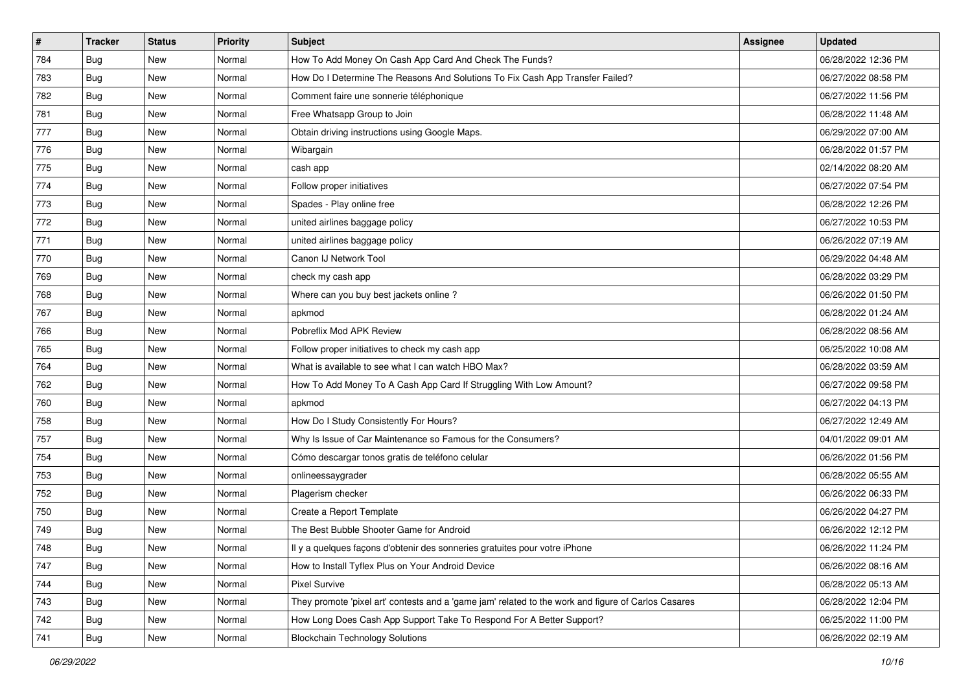| #   | <b>Tracker</b> | <b>Status</b> | Priority | <b>Subject</b>                                                                                      | <b>Assignee</b> | <b>Updated</b>      |
|-----|----------------|---------------|----------|-----------------------------------------------------------------------------------------------------|-----------------|---------------------|
| 784 | <b>Bug</b>     | New           | Normal   | How To Add Money On Cash App Card And Check The Funds?                                              |                 | 06/28/2022 12:36 PM |
| 783 | Bug            | New           | Normal   | How Do I Determine The Reasons And Solutions To Fix Cash App Transfer Failed?                       |                 | 06/27/2022 08:58 PM |
| 782 | Bug            | New           | Normal   | Comment faire une sonnerie téléphonique                                                             |                 | 06/27/2022 11:56 PM |
| 781 | <b>Bug</b>     | New           | Normal   | Free Whatsapp Group to Join                                                                         |                 | 06/28/2022 11:48 AM |
| 777 | <b>Bug</b>     | <b>New</b>    | Normal   | Obtain driving instructions using Google Maps.                                                      |                 | 06/29/2022 07:00 AM |
| 776 | <b>Bug</b>     | New           | Normal   | Wibargain                                                                                           |                 | 06/28/2022 01:57 PM |
| 775 | <b>Bug</b>     | New           | Normal   | cash app                                                                                            |                 | 02/14/2022 08:20 AM |
| 774 | <b>Bug</b>     | New           | Normal   | Follow proper initiatives                                                                           |                 | 06/27/2022 07:54 PM |
| 773 | <b>Bug</b>     | New           | Normal   | Spades - Play online free                                                                           |                 | 06/28/2022 12:26 PM |
| 772 | <b>Bug</b>     | <b>New</b>    | Normal   | united airlines baggage policy                                                                      |                 | 06/27/2022 10:53 PM |
| 771 | Bug            | New           | Normal   | united airlines baggage policy                                                                      |                 | 06/26/2022 07:19 AM |
| 770 | <b>Bug</b>     | New           | Normal   | Canon IJ Network Tool                                                                               |                 | 06/29/2022 04:48 AM |
| 769 | <b>Bug</b>     | <b>New</b>    | Normal   | check my cash app                                                                                   |                 | 06/28/2022 03:29 PM |
| 768 | <b>Bug</b>     | New           | Normal   | Where can you buy best jackets online?                                                              |                 | 06/26/2022 01:50 PM |
| 767 | <b>Bug</b>     | New           | Normal   | apkmod                                                                                              |                 | 06/28/2022 01:24 AM |
| 766 | Bug            | New           | Normal   | Pobreflix Mod APK Review                                                                            |                 | 06/28/2022 08:56 AM |
| 765 | <b>Bug</b>     | New           | Normal   | Follow proper initiatives to check my cash app                                                      |                 | 06/25/2022 10:08 AM |
| 764 | Bug            | <b>New</b>    | Normal   | What is available to see what I can watch HBO Max?                                                  |                 | 06/28/2022 03:59 AM |
| 762 | <b>Bug</b>     | New           | Normal   | How To Add Money To A Cash App Card If Struggling With Low Amount?                                  |                 | 06/27/2022 09:58 PM |
| 760 | <b>Bug</b>     | New           | Normal   | apkmod                                                                                              |                 | 06/27/2022 04:13 PM |
| 758 | <b>Bug</b>     | New           | Normal   | How Do I Study Consistently For Hours?                                                              |                 | 06/27/2022 12:49 AM |
| 757 | <b>Bug</b>     | New           | Normal   | Why Is Issue of Car Maintenance so Famous for the Consumers?                                        |                 | 04/01/2022 09:01 AM |
| 754 | Bug            | <b>New</b>    | Normal   | Cómo descargar tonos gratis de teléfono celular                                                     |                 | 06/26/2022 01:56 PM |
| 753 | Bug            | New           | Normal   | onlineessaygrader                                                                                   |                 | 06/28/2022 05:55 AM |
| 752 | <b>Bug</b>     | New           | Normal   | Plagerism checker                                                                                   |                 | 06/26/2022 06:33 PM |
| 750 | <b>Bug</b>     | New           | Normal   | Create a Report Template                                                                            |                 | 06/26/2022 04:27 PM |
| 749 | <b>Bug</b>     | New           | Normal   | The Best Bubble Shooter Game for Android                                                            |                 | 06/26/2022 12:12 PM |
| 748 | I Bug          | New           | Normal   | Il y a quelques façons d'obtenir des sonneries gratuites pour votre iPhone                          |                 | 06/26/2022 11:24 PM |
| 747 | Bug            | New           | Normal   | How to Install Tyflex Plus on Your Android Device                                                   |                 | 06/26/2022 08:16 AM |
| 744 | Bug            | New           | Normal   | <b>Pixel Survive</b>                                                                                |                 | 06/28/2022 05:13 AM |
| 743 | Bug            | New           | Normal   | They promote 'pixel art' contests and a 'game jam' related to the work and figure of Carlos Casares |                 | 06/28/2022 12:04 PM |
| 742 | Bug            | New           | Normal   | How Long Does Cash App Support Take To Respond For A Better Support?                                |                 | 06/25/2022 11:00 PM |
| 741 | <b>Bug</b>     | New           | Normal   | <b>Blockchain Technology Solutions</b>                                                              |                 | 06/26/2022 02:19 AM |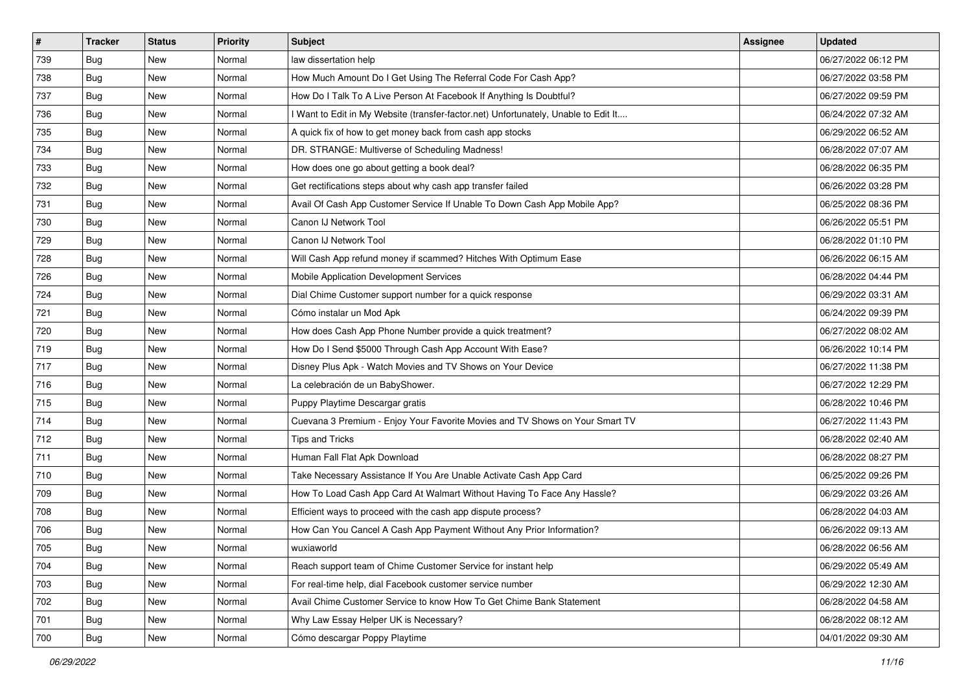| $\vert$ # | <b>Tracker</b> | <b>Status</b> | <b>Priority</b> | Subject                                                                             | <b>Assignee</b> | <b>Updated</b>      |
|-----------|----------------|---------------|-----------------|-------------------------------------------------------------------------------------|-----------------|---------------------|
| 739       | <b>Bug</b>     | New           | Normal          | law dissertation help                                                               |                 | 06/27/2022 06:12 PM |
| 738       | Bug            | <b>New</b>    | Normal          | How Much Amount Do I Get Using The Referral Code For Cash App?                      |                 | 06/27/2022 03:58 PM |
| 737       | Bug            | New           | Normal          | How Do I Talk To A Live Person At Facebook If Anything Is Doubtful?                 |                 | 06/27/2022 09:59 PM |
| 736       | <b>Bug</b>     | New           | Normal          | I Want to Edit in My Website (transfer-factor.net) Unfortunately, Unable to Edit It |                 | 06/24/2022 07:32 AM |
| 735       | <b>Bug</b>     | <b>New</b>    | Normal          | A quick fix of how to get money back from cash app stocks                           |                 | 06/29/2022 06:52 AM |
| 734       | <b>Bug</b>     | New           | Normal          | DR. STRANGE: Multiverse of Scheduling Madness!                                      |                 | 06/28/2022 07:07 AM |
| 733       | Bug            | New           | Normal          | How does one go about getting a book deal?                                          |                 | 06/28/2022 06:35 PM |
| 732       | <b>Bug</b>     | New           | Normal          | Get rectifications steps about why cash app transfer failed                         |                 | 06/26/2022 03:28 PM |
| 731       | <b>Bug</b>     | <b>New</b>    | Normal          | Avail Of Cash App Customer Service If Unable To Down Cash App Mobile App?           |                 | 06/25/2022 08:36 PM |
| 730       | Bug            | <b>New</b>    | Normal          | Canon IJ Network Tool                                                               |                 | 06/26/2022 05:51 PM |
| 729       | Bug            | New           | Normal          | Canon IJ Network Tool                                                               |                 | 06/28/2022 01:10 PM |
| 728       | <b>Bug</b>     | New           | Normal          | Will Cash App refund money if scammed? Hitches With Optimum Ease                    |                 | 06/26/2022 06:15 AM |
| 726       | Bug            | New           | Normal          | Mobile Application Development Services                                             |                 | 06/28/2022 04:44 PM |
| 724       | <b>Bug</b>     | New           | Normal          | Dial Chime Customer support number for a quick response                             |                 | 06/29/2022 03:31 AM |
| 721       | <b>Bug</b>     | <b>New</b>    | Normal          | Cómo instalar un Mod Apk                                                            |                 | 06/24/2022 09:39 PM |
| 720       | Bug            | New           | Normal          | How does Cash App Phone Number provide a quick treatment?                           |                 | 06/27/2022 08:02 AM |
| 719       | <b>Bug</b>     | New           | Normal          | How Do I Send \$5000 Through Cash App Account With Ease?                            |                 | 06/26/2022 10:14 PM |
| 717       | Bug            | <b>New</b>    | Normal          | Disney Plus Apk - Watch Movies and TV Shows on Your Device                          |                 | 06/27/2022 11:38 PM |
| 716       | <b>Bug</b>     | New           | Normal          | La celebración de un BabyShower.                                                    |                 | 06/27/2022 12:29 PM |
| 715       | <b>Bug</b>     | <b>New</b>    | Normal          | Puppy Playtime Descargar gratis                                                     |                 | 06/28/2022 10:46 PM |
| 714       | <b>Bug</b>     | New           | Normal          | Cuevana 3 Premium - Enjoy Your Favorite Movies and TV Shows on Your Smart TV        |                 | 06/27/2022 11:43 PM |
| 712       | <b>Bug</b>     | <b>New</b>    | Normal          | <b>Tips and Tricks</b>                                                              |                 | 06/28/2022 02:40 AM |
| 711       | Bug            | <b>New</b>    | Normal          | Human Fall Flat Apk Download                                                        |                 | 06/28/2022 08:27 PM |
| 710       | Bug            | New           | Normal          | Take Necessary Assistance If You Are Unable Activate Cash App Card                  |                 | 06/25/2022 09:26 PM |
| 709       | <b>Bug</b>     | New           | Normal          | How To Load Cash App Card At Walmart Without Having To Face Any Hassle?             |                 | 06/29/2022 03:26 AM |
| 708       | <b>Bug</b>     | New           | Normal          | Efficient ways to proceed with the cash app dispute process?                        |                 | 06/28/2022 04:03 AM |
| 706       | <b>Bug</b>     | New           | Normal          | How Can You Cancel A Cash App Payment Without Any Prior Information?                |                 | 06/26/2022 09:13 AM |
| 705       | i Bug          | New           | Normal          | wuxiaworld                                                                          |                 | 06/28/2022 06:56 AM |
| 704       | Bug            | New           | Normal          | Reach support team of Chime Customer Service for instant help                       |                 | 06/29/2022 05:49 AM |
| 703       | Bug            | New           | Normal          | For real-time help, dial Facebook customer service number                           |                 | 06/29/2022 12:30 AM |
| 702       | Bug            | New           | Normal          | Avail Chime Customer Service to know How To Get Chime Bank Statement                |                 | 06/28/2022 04:58 AM |
| 701       | <b>Bug</b>     | New           | Normal          | Why Law Essay Helper UK is Necessary?                                               |                 | 06/28/2022 08:12 AM |
| 700       | <b>Bug</b>     | New           | Normal          | Cómo descargar Poppy Playtime                                                       |                 | 04/01/2022 09:30 AM |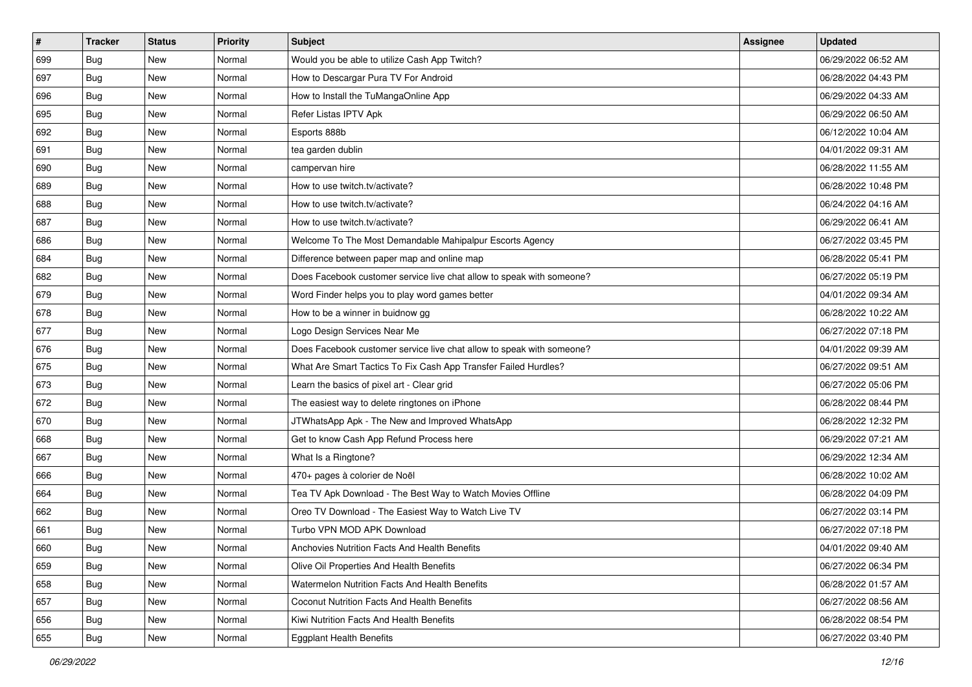| $\pmb{\#}$ | <b>Tracker</b> | <b>Status</b> | <b>Priority</b> | Subject                                                               | <b>Assignee</b> | <b>Updated</b>      |
|------------|----------------|---------------|-----------------|-----------------------------------------------------------------------|-----------------|---------------------|
| 699        | Bug            | New           | Normal          | Would you be able to utilize Cash App Twitch?                         |                 | 06/29/2022 06:52 AM |
| 697        | <b>Bug</b>     | New           | Normal          | How to Descargar Pura TV For Android                                  |                 | 06/28/2022 04:43 PM |
| 696        | Bug            | New           | Normal          | How to Install the TuMangaOnline App                                  |                 | 06/29/2022 04:33 AM |
| 695        | Bug            | New           | Normal          | Refer Listas IPTV Apk                                                 |                 | 06/29/2022 06:50 AM |
| 692        | <b>Bug</b>     | New           | Normal          | Esports 888b                                                          |                 | 06/12/2022 10:04 AM |
| 691        | Bug            | New           | Normal          | tea garden dublin                                                     |                 | 04/01/2022 09:31 AM |
| 690        | Bug            | New           | Normal          | campervan hire                                                        |                 | 06/28/2022 11:55 AM |
| 689        | Bug            | New           | Normal          | How to use twitch.tv/activate?                                        |                 | 06/28/2022 10:48 PM |
| 688        | Bug            | New           | Normal          | How to use twitch.tv/activate?                                        |                 | 06/24/2022 04:16 AM |
| 687        | <b>Bug</b>     | New           | Normal          | How to use twitch.tv/activate?                                        |                 | 06/29/2022 06:41 AM |
| 686        | Bug            | New           | Normal          | Welcome To The Most Demandable Mahipalpur Escorts Agency              |                 | 06/27/2022 03:45 PM |
| 684        | <b>Bug</b>     | New           | Normal          | Difference between paper map and online map                           |                 | 06/28/2022 05:41 PM |
| 682        | Bug            | New           | Normal          | Does Facebook customer service live chat allow to speak with someone? |                 | 06/27/2022 05:19 PM |
| 679        | Bug            | New           | Normal          | Word Finder helps you to play word games better                       |                 | 04/01/2022 09:34 AM |
| 678        | Bug            | New           | Normal          | How to be a winner in buidnow gg                                      |                 | 06/28/2022 10:22 AM |
| 677        | Bug            | New           | Normal          | Logo Design Services Near Me                                          |                 | 06/27/2022 07:18 PM |
| 676        | Bug            | New           | Normal          | Does Facebook customer service live chat allow to speak with someone? |                 | 04/01/2022 09:39 AM |
| 675        | <b>Bug</b>     | New           | Normal          | What Are Smart Tactics To Fix Cash App Transfer Failed Hurdles?       |                 | 06/27/2022 09:51 AM |
| 673        | Bug            | New           | Normal          | Learn the basics of pixel art - Clear grid                            |                 | 06/27/2022 05:06 PM |
| 672        | <b>Bug</b>     | New           | Normal          | The easiest way to delete ringtones on iPhone                         |                 | 06/28/2022 08:44 PM |
| 670        | Bug            | New           | Normal          | JTWhatsApp Apk - The New and Improved WhatsApp                        |                 | 06/28/2022 12:32 PM |
| 668        | Bug            | New           | Normal          | Get to know Cash App Refund Process here                              |                 | 06/29/2022 07:21 AM |
| 667        | <b>Bug</b>     | New           | Normal          | What Is a Ringtone?                                                   |                 | 06/29/2022 12:34 AM |
| 666        | Bug            | New           | Normal          | 470+ pages à colorier de Noël                                         |                 | 06/28/2022 10:02 AM |
| 664        | Bug            | New           | Normal          | Tea TV Apk Download - The Best Way to Watch Movies Offline            |                 | 06/28/2022 04:09 PM |
| 662        | Bug            | New           | Normal          | Oreo TV Download - The Easiest Way to Watch Live TV                   |                 | 06/27/2022 03:14 PM |
| 661        | Bug            | New           | Normal          | Turbo VPN MOD APK Download                                            |                 | 06/27/2022 07:18 PM |
| 660        | <b>Bug</b>     | New           | Normal          | Anchovies Nutrition Facts And Health Benefits                         |                 | 04/01/2022 09:40 AM |
| 659        | Bug            | New           | Normal          | Olive Oil Properties And Health Benefits                              |                 | 06/27/2022 06:34 PM |
| 658        | Bug            | New           | Normal          | Watermelon Nutrition Facts And Health Benefits                        |                 | 06/28/2022 01:57 AM |
| 657        | Bug            | New           | Normal          | <b>Coconut Nutrition Facts And Health Benefits</b>                    |                 | 06/27/2022 08:56 AM |
| 656        | Bug            | New           | Normal          | Kiwi Nutrition Facts And Health Benefits                              |                 | 06/28/2022 08:54 PM |
| 655        | <b>Bug</b>     | New           | Normal          | <b>Eggplant Health Benefits</b>                                       |                 | 06/27/2022 03:40 PM |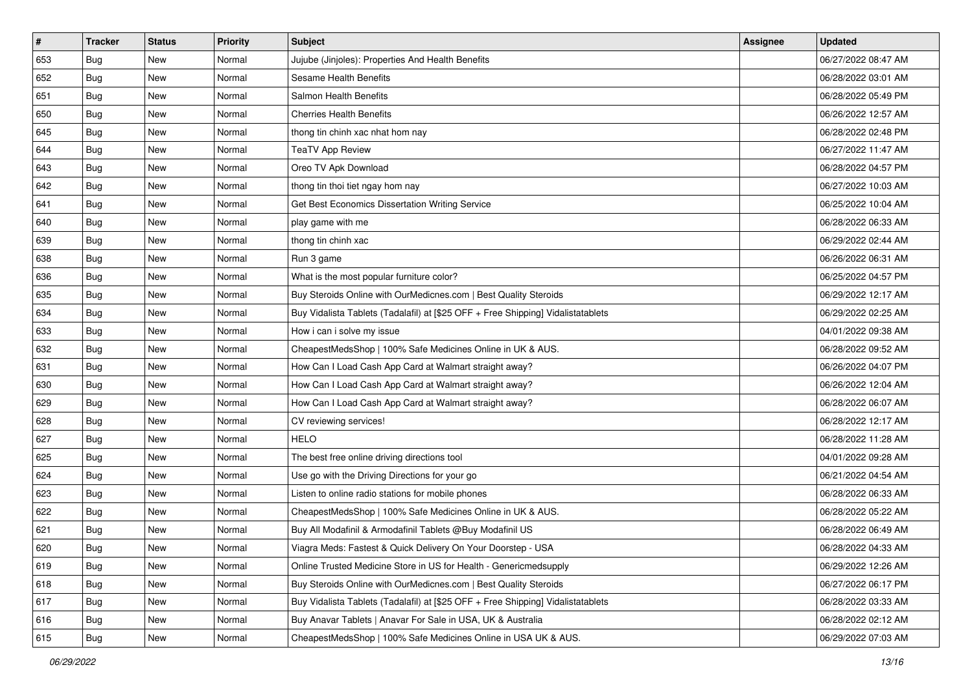| #   | <b>Tracker</b> | <b>Status</b> | <b>Priority</b> | Subject                                                                          | <b>Assignee</b> | <b>Updated</b>      |
|-----|----------------|---------------|-----------------|----------------------------------------------------------------------------------|-----------------|---------------------|
| 653 | <b>Bug</b>     | New           | Normal          | Jujube (Jinjoles): Properties And Health Benefits                                |                 | 06/27/2022 08:47 AM |
| 652 | Bug            | New           | Normal          | Sesame Health Benefits                                                           |                 | 06/28/2022 03:01 AM |
| 651 | <b>Bug</b>     | New           | Normal          | Salmon Health Benefits                                                           |                 | 06/28/2022 05:49 PM |
| 650 | <b>Bug</b>     | New           | Normal          | <b>Cherries Health Benefits</b>                                                  |                 | 06/26/2022 12:57 AM |
| 645 | Bug            | New           | Normal          | thong tin chinh xac nhat hom nay                                                 |                 | 06/28/2022 02:48 PM |
| 644 | <b>Bug</b>     | New           | Normal          | <b>TeaTV App Review</b>                                                          |                 | 06/27/2022 11:47 AM |
| 643 | Bug            | New           | Normal          | Oreo TV Apk Download                                                             |                 | 06/28/2022 04:57 PM |
| 642 | Bug            | New           | Normal          | thong tin thoi tiet ngay hom nay                                                 |                 | 06/27/2022 10:03 AM |
| 641 | <b>Bug</b>     | New           | Normal          | Get Best Economics Dissertation Writing Service                                  |                 | 06/25/2022 10:04 AM |
| 640 | Bug            | New           | Normal          | play game with me                                                                |                 | 06/28/2022 06:33 AM |
| 639 | <b>Bug</b>     | New           | Normal          | thong tin chinh xac                                                              |                 | 06/29/2022 02:44 AM |
| 638 | <b>Bug</b>     | New           | Normal          | Run 3 game                                                                       |                 | 06/26/2022 06:31 AM |
| 636 | <b>Bug</b>     | New           | Normal          | What is the most popular furniture color?                                        |                 | 06/25/2022 04:57 PM |
| 635 | Bug            | New           | Normal          | Buy Steroids Online with OurMedicnes.com   Best Quality Steroids                 |                 | 06/29/2022 12:17 AM |
| 634 | Bug            | New           | Normal          | Buy Vidalista Tablets (Tadalafil) at [\$25 OFF + Free Shipping] Vidalistatablets |                 | 06/29/2022 02:25 AM |
| 633 | Bug            | New           | Normal          | How i can i solve my issue                                                       |                 | 04/01/2022 09:38 AM |
| 632 | Bug            | New           | Normal          | CheapestMedsShop   100% Safe Medicines Online in UK & AUS.                       |                 | 06/28/2022 09:52 AM |
| 631 | Bug            | New           | Normal          | How Can I Load Cash App Card at Walmart straight away?                           |                 | 06/26/2022 04:07 PM |
| 630 | Bug            | New           | Normal          | How Can I Load Cash App Card at Walmart straight away?                           |                 | 06/26/2022 12:04 AM |
| 629 | Bug            | New           | Normal          | How Can I Load Cash App Card at Walmart straight away?                           |                 | 06/28/2022 06:07 AM |
| 628 | <b>Bug</b>     | New           | Normal          | CV reviewing services!                                                           |                 | 06/28/2022 12:17 AM |
| 627 | <b>Bug</b>     | New           | Normal          | <b>HELO</b>                                                                      |                 | 06/28/2022 11:28 AM |
| 625 | Bug            | New           | Normal          | The best free online driving directions tool                                     |                 | 04/01/2022 09:28 AM |
| 624 | <b>Bug</b>     | New           | Normal          | Use go with the Driving Directions for your go                                   |                 | 06/21/2022 04:54 AM |
| 623 | Bug            | New           | Normal          | Listen to online radio stations for mobile phones                                |                 | 06/28/2022 06:33 AM |
| 622 | Bug            | New           | Normal          | CheapestMedsShop   100% Safe Medicines Online in UK & AUS.                       |                 | 06/28/2022 05:22 AM |
| 621 | <b>Bug</b>     | New           | Normal          | Buy All Modafinil & Armodafinil Tablets @Buy Modafinil US                        |                 | 06/28/2022 06:49 AM |
| 620 | <b>Bug</b>     | New           | Normal          | Viagra Meds: Fastest & Quick Delivery On Your Doorstep - USA                     |                 | 06/28/2022 04:33 AM |
| 619 | Bug            | New           | Normal          | Online Trusted Medicine Store in US for Health - Genericmedsupply                |                 | 06/29/2022 12:26 AM |
| 618 | Bug            | New           | Normal          | Buy Steroids Online with OurMedicnes.com   Best Quality Steroids                 |                 | 06/27/2022 06:17 PM |
| 617 | <b>Bug</b>     | New           | Normal          | Buy Vidalista Tablets (Tadalafil) at [\$25 OFF + Free Shipping] Vidalistatablets |                 | 06/28/2022 03:33 AM |
| 616 | Bug            | New           | Normal          | Buy Anavar Tablets   Anavar For Sale in USA, UK & Australia                      |                 | 06/28/2022 02:12 AM |
| 615 | <b>Bug</b>     | New           | Normal          | CheapestMedsShop   100% Safe Medicines Online in USA UK & AUS.                   |                 | 06/29/2022 07:03 AM |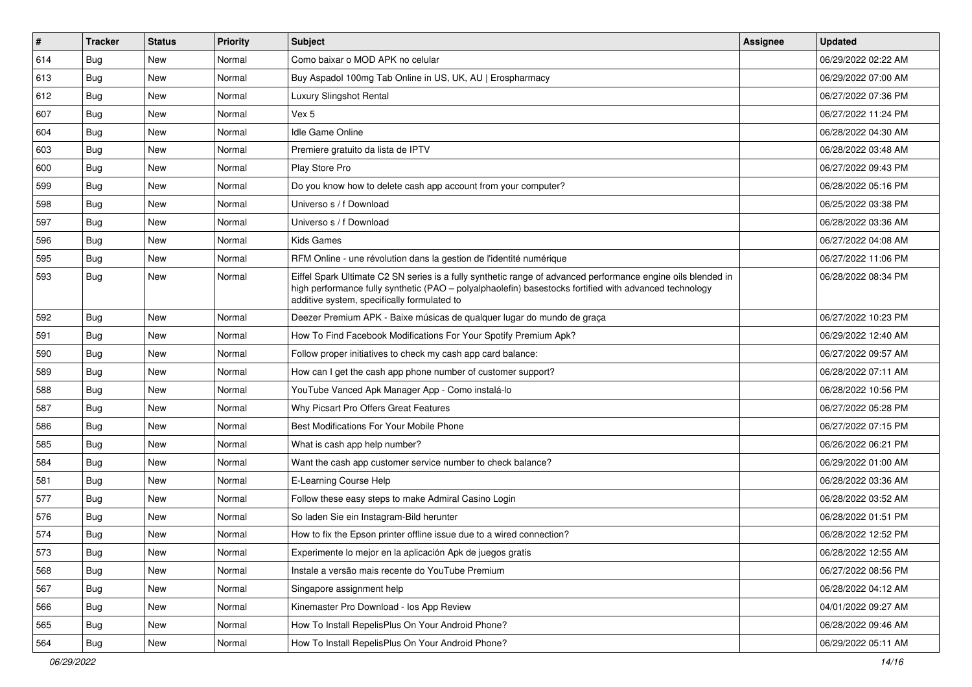| #   | <b>Tracker</b> | <b>Status</b> | <b>Priority</b> | Subject                                                                                                                                                                                                                                                               | <b>Assignee</b> | <b>Updated</b>      |
|-----|----------------|---------------|-----------------|-----------------------------------------------------------------------------------------------------------------------------------------------------------------------------------------------------------------------------------------------------------------------|-----------------|---------------------|
| 614 | Bug            | New           | Normal          | Como baixar o MOD APK no celular                                                                                                                                                                                                                                      |                 | 06/29/2022 02:22 AM |
| 613 | Bug            | New           | Normal          | Buy Aspadol 100mg Tab Online in US, UK, AU   Erospharmacy                                                                                                                                                                                                             |                 | 06/29/2022 07:00 AM |
| 612 | Bug            | New           | Normal          | Luxury Slingshot Rental                                                                                                                                                                                                                                               |                 | 06/27/2022 07:36 PM |
| 607 | Bug            | New           | Normal          | Vex 5                                                                                                                                                                                                                                                                 |                 | 06/27/2022 11:24 PM |
| 604 | Bug            | <b>New</b>    | Normal          | <b>Idle Game Online</b>                                                                                                                                                                                                                                               |                 | 06/28/2022 04:30 AM |
| 603 | Bug            | New           | Normal          | Premiere gratuito da lista de IPTV                                                                                                                                                                                                                                    |                 | 06/28/2022 03:48 AM |
| 600 | Bug            | New           | Normal          | Play Store Pro                                                                                                                                                                                                                                                        |                 | 06/27/2022 09:43 PM |
| 599 | Bug            | New           | Normal          | Do you know how to delete cash app account from your computer?                                                                                                                                                                                                        |                 | 06/28/2022 05:16 PM |
| 598 | Bug            | New           | Normal          | Universo s / f Download                                                                                                                                                                                                                                               |                 | 06/25/2022 03:38 PM |
| 597 | Bug            | New           | Normal          | Universo s / f Download                                                                                                                                                                                                                                               |                 | 06/28/2022 03:36 AM |
| 596 | Bug            | New           | Normal          | Kids Games                                                                                                                                                                                                                                                            |                 | 06/27/2022 04:08 AM |
| 595 | Bug            | New           | Normal          | RFM Online - une révolution dans la gestion de l'identité numérique                                                                                                                                                                                                   |                 | 06/27/2022 11:06 PM |
| 593 | Bug            | New           | Normal          | Eiffel Spark Ultimate C2 SN series is a fully synthetic range of advanced performance engine oils blended in<br>high performance fully synthetic (PAO - polyalphaolefin) basestocks fortified with advanced technology<br>additive system, specifically formulated to |                 | 06/28/2022 08:34 PM |
| 592 | Bug            | New           | Normal          | Deezer Premium APK - Baixe músicas de qualquer lugar do mundo de graça                                                                                                                                                                                                |                 | 06/27/2022 10:23 PM |
| 591 | Bug            | New           | Normal          | How To Find Facebook Modifications For Your Spotify Premium Apk?                                                                                                                                                                                                      |                 | 06/29/2022 12:40 AM |
| 590 | Bug            | New           | Normal          | Follow proper initiatives to check my cash app card balance:                                                                                                                                                                                                          |                 | 06/27/2022 09:57 AM |
| 589 | Bug            | New           | Normal          | How can I get the cash app phone number of customer support?                                                                                                                                                                                                          |                 | 06/28/2022 07:11 AM |
| 588 | Bug            | New           | Normal          | YouTube Vanced Apk Manager App - Como instalá-lo                                                                                                                                                                                                                      |                 | 06/28/2022 10:56 PM |
| 587 | Bug            | <b>New</b>    | Normal          | Why Picsart Pro Offers Great Features                                                                                                                                                                                                                                 |                 | 06/27/2022 05:28 PM |
| 586 | Bug            | New           | Normal          | Best Modifications For Your Mobile Phone                                                                                                                                                                                                                              |                 | 06/27/2022 07:15 PM |
| 585 | Bug            | <b>New</b>    | Normal          | What is cash app help number?                                                                                                                                                                                                                                         |                 | 06/26/2022 06:21 PM |
| 584 | Bug            | New           | Normal          | Want the cash app customer service number to check balance?                                                                                                                                                                                                           |                 | 06/29/2022 01:00 AM |
| 581 | Bug            | New           | Normal          | E-Learning Course Help                                                                                                                                                                                                                                                |                 | 06/28/2022 03:36 AM |
| 577 | Bug            | <b>New</b>    | Normal          | Follow these easy steps to make Admiral Casino Login                                                                                                                                                                                                                  |                 | 06/28/2022 03:52 AM |
| 576 | Bug            | New           | Normal          | So laden Sie ein Instagram-Bild herunter                                                                                                                                                                                                                              |                 | 06/28/2022 01:51 PM |
| 574 | Bug            | <b>New</b>    | Normal          | How to fix the Epson printer offline issue due to a wired connection?                                                                                                                                                                                                 |                 | 06/28/2022 12:52 PM |
| 573 | Bug            | New           | Normal          | Experimente lo mejor en la aplicación Apk de juegos gratis                                                                                                                                                                                                            |                 | 06/28/2022 12:55 AM |
| 568 | <b>Bug</b>     | New           | Normal          | Instale a versão mais recente do YouTube Premium                                                                                                                                                                                                                      |                 | 06/27/2022 08:56 PM |
| 567 | Bug            | <b>New</b>    | Normal          | Singapore assignment help                                                                                                                                                                                                                                             |                 | 06/28/2022 04:12 AM |
| 566 | <b>Bug</b>     | New           | Normal          | Kinemaster Pro Download - los App Review                                                                                                                                                                                                                              |                 | 04/01/2022 09:27 AM |
| 565 | <b>Bug</b>     | New           | Normal          | How To Install RepelisPlus On Your Android Phone?                                                                                                                                                                                                                     |                 | 06/28/2022 09:46 AM |
| 564 | <b>Bug</b>     | New           | Normal          | How To Install RepelisPlus On Your Android Phone?                                                                                                                                                                                                                     |                 | 06/29/2022 05:11 AM |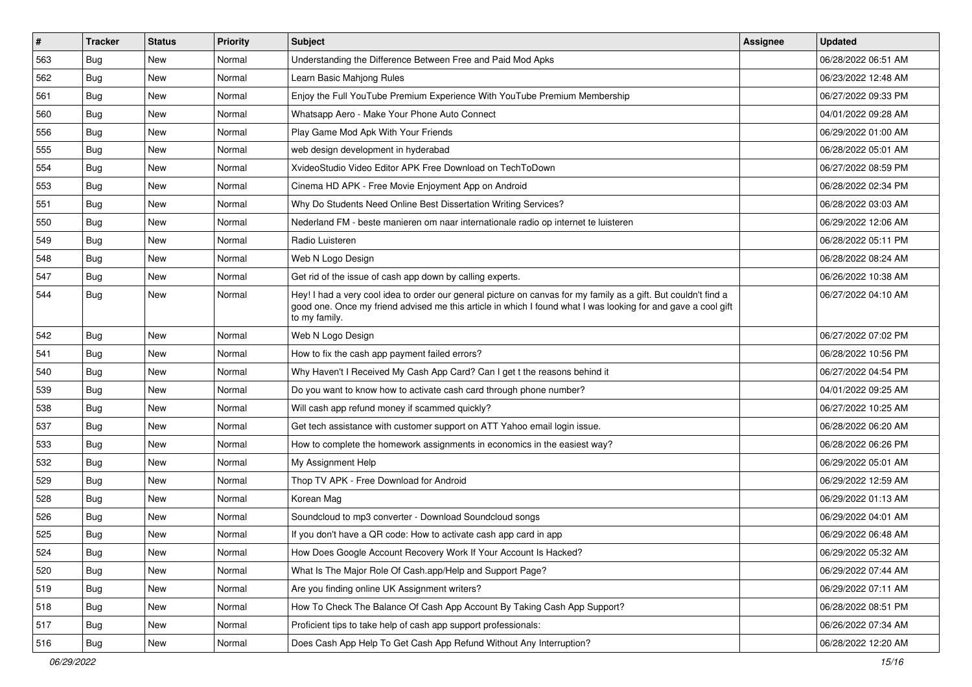| $\vert$ # | <b>Tracker</b> | <b>Status</b> | <b>Priority</b> | Subject                                                                                                                                                                                                                                           | Assignee | <b>Updated</b>      |
|-----------|----------------|---------------|-----------------|---------------------------------------------------------------------------------------------------------------------------------------------------------------------------------------------------------------------------------------------------|----------|---------------------|
| 563       | <b>Bug</b>     | New           | Normal          | Understanding the Difference Between Free and Paid Mod Apks                                                                                                                                                                                       |          | 06/28/2022 06:51 AM |
| 562       | Bug            | <b>New</b>    | Normal          | Learn Basic Mahjong Rules                                                                                                                                                                                                                         |          | 06/23/2022 12:48 AM |
| 561       | Bug            | New           | Normal          | Enjoy the Full YouTube Premium Experience With YouTube Premium Membership                                                                                                                                                                         |          | 06/27/2022 09:33 PM |
| 560       | <b>Bug</b>     | New           | Normal          | Whatsapp Aero - Make Your Phone Auto Connect                                                                                                                                                                                                      |          | 04/01/2022 09:28 AM |
| 556       | <b>Bug</b>     | <b>New</b>    | Normal          | Play Game Mod Apk With Your Friends                                                                                                                                                                                                               |          | 06/29/2022 01:00 AM |
| 555       | <b>Bug</b>     | New           | Normal          | web design development in hyderabad                                                                                                                                                                                                               |          | 06/28/2022 05:01 AM |
| 554       | Bug            | <b>New</b>    | Normal          | XvideoStudio Video Editor APK Free Download on TechToDown                                                                                                                                                                                         |          | 06/27/2022 08:59 PM |
| 553       | <b>Bug</b>     | New           | Normal          | Cinema HD APK - Free Movie Enjoyment App on Android                                                                                                                                                                                               |          | 06/28/2022 02:34 PM |
| 551       | <b>Bug</b>     | <b>New</b>    | Normal          | Why Do Students Need Online Best Dissertation Writing Services?                                                                                                                                                                                   |          | 06/28/2022 03:03 AM |
| 550       | Bug            | <b>New</b>    | Normal          | Nederland FM - beste manieren om naar internationale radio op internet te luisteren                                                                                                                                                               |          | 06/29/2022 12:06 AM |
| 549       | Bug            | New           | Normal          | Radio Luisteren                                                                                                                                                                                                                                   |          | 06/28/2022 05:11 PM |
| 548       | Bug            | New           | Normal          | Web N Logo Design                                                                                                                                                                                                                                 |          | 06/28/2022 08:24 AM |
| 547       | Bug            | <b>New</b>    | Normal          | Get rid of the issue of cash app down by calling experts.                                                                                                                                                                                         |          | 06/26/2022 10:38 AM |
| 544       | Bug            | New           | Normal          | Hey! I had a very cool idea to order our general picture on canvas for my family as a gift. But couldn't find a<br>good one. Once my friend advised me this article in which I found what I was looking for and gave a cool gift<br>to my family. |          | 06/27/2022 04:10 AM |
| 542       | Bug            | <b>New</b>    | Normal          | Web N Logo Design                                                                                                                                                                                                                                 |          | 06/27/2022 07:02 PM |
| 541       | Bug            | <b>New</b>    | Normal          | How to fix the cash app payment failed errors?                                                                                                                                                                                                    |          | 06/28/2022 10:56 PM |
| 540       | Bug            | New           | Normal          | Why Haven't I Received My Cash App Card? Can I get t the reasons behind it                                                                                                                                                                        |          | 06/27/2022 04:54 PM |
| 539       | Bug            | New           | Normal          | Do you want to know how to activate cash card through phone number?                                                                                                                                                                               |          | 04/01/2022 09:25 AM |
| 538       | Bug            | <b>New</b>    | Normal          | Will cash app refund money if scammed quickly?                                                                                                                                                                                                    |          | 06/27/2022 10:25 AM |
| 537       | Bug            | New           | Normal          | Get tech assistance with customer support on ATT Yahoo email login issue.                                                                                                                                                                         |          | 06/28/2022 06:20 AM |
| 533       | <b>Bug</b>     | <b>New</b>    | Normal          | How to complete the homework assignments in economics in the easiest way?                                                                                                                                                                         |          | 06/28/2022 06:26 PM |
| 532       | Bug            | New           | Normal          | My Assignment Help                                                                                                                                                                                                                                |          | 06/29/2022 05:01 AM |
| 529       | <b>Bug</b>     | New           | Normal          | Thop TV APK - Free Download for Android                                                                                                                                                                                                           |          | 06/29/2022 12:59 AM |
| 528       | Bug            | <b>New</b>    | Normal          | Korean Mag                                                                                                                                                                                                                                        |          | 06/29/2022 01:13 AM |
| 526       | <b>Bug</b>     | New           | Normal          | Soundcloud to mp3 converter - Download Soundcloud songs                                                                                                                                                                                           |          | 06/29/2022 04:01 AM |
| 525       | Bug            | New           | Normal          | If you don't have a QR code: How to activate cash app card in app                                                                                                                                                                                 |          | 06/29/2022 06:48 AM |
| 524       | Bug            | New           | Normal          | How Does Google Account Recovery Work If Your Account Is Hacked?                                                                                                                                                                                  |          | 06/29/2022 05:32 AM |
| 520       | Bug            | New           | Normal          | What Is The Major Role Of Cash.app/Help and Support Page?                                                                                                                                                                                         |          | 06/29/2022 07:44 AM |
| 519       | <b>Bug</b>     | New           | Normal          | Are you finding online UK Assignment writers?                                                                                                                                                                                                     |          | 06/29/2022 07:11 AM |
| 518       | <b>Bug</b>     | New           | Normal          | How To Check The Balance Of Cash App Account By Taking Cash App Support?                                                                                                                                                                          |          | 06/28/2022 08:51 PM |
| 517       | Bug            | New           | Normal          | Proficient tips to take help of cash app support professionals:                                                                                                                                                                                   |          | 06/26/2022 07:34 AM |
| 516       | <b>Bug</b>     | New           | Normal          | Does Cash App Help To Get Cash App Refund Without Any Interruption?                                                                                                                                                                               |          | 06/28/2022 12:20 AM |